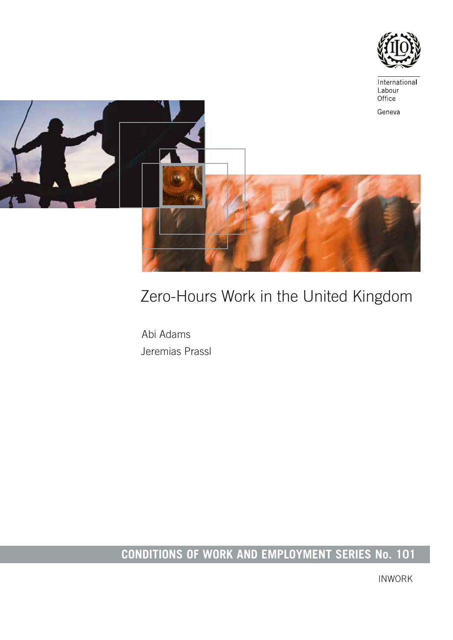



# Zero-Hours Work in the United Kingdom

Abi Adams Jeremias Prassl

# **CONDITIONS OF WORK AND EMPLOYMENT SERIES No. 101**

INWORK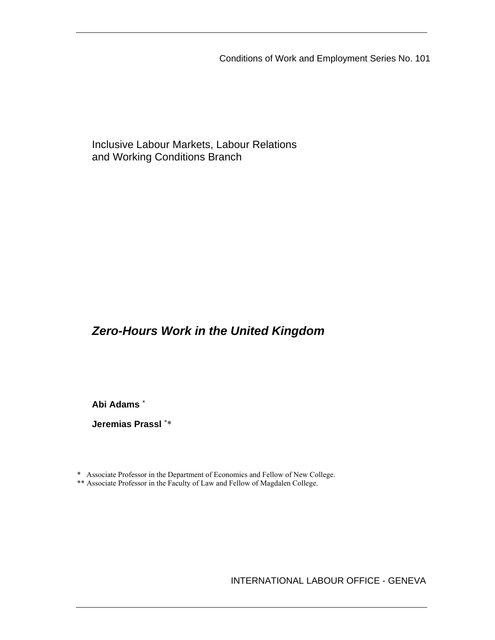Conditions of Work and Employment Series No. 101

Inclusive Labour Markets, Labour Relations and Working Conditions Branch

# *Zero-Hours Work in the United Kingdom*

**Abi Adams** \*

**Jeremias Prassl** \*\*

\* Associate Professor in the Department of Economics and Fellow of New College.

\*\* Associate Professor in the Faculty of Law and Fellow of Magdalen College.

INTERNATIONAL LABOUR OFFICE - GENEVA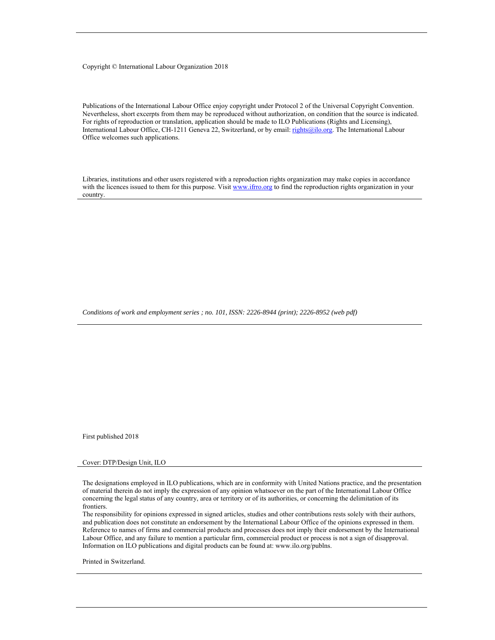#### Copyright © International Labour Organization 2018

Publications of the International Labour Office enjoy copyright under Protocol 2 of the Universal Copyright Convention. Nevertheless, short excerpts from them may be reproduced without authorization, on condition that the source is indicated. For rights of reproduction or translation, application should be made to ILO Publications (Rights and Licensing), International Labour Office, CH-1211 Geneva 22, Switzerland, or by email: rights@ilo.org. The International Labour Office welcomes such applications.

Libraries, institutions and other users registered with a reproduction rights organization may make copies in accordance with the licences issued to them for this purpose. Visit www.ifrro.org to find the reproduction rights organization in your country.

*Conditions of work and employment series ; no. 101, ISSN: 2226-8944 (print); 2226-8952 (web pdf)* 

First published 2018

#### Cover: DTP/Design Unit, ILO

The designations employed in ILO publications, which are in conformity with United Nations practice, and the presentation of material therein do not imply the expression of any opinion whatsoever on the part of the International Labour Office concerning the legal status of any country, area or territory or of its authorities, or concerning the delimitation of its frontiers.

The responsibility for opinions expressed in signed articles, studies and other contributions rests solely with their authors, and publication does not constitute an endorsement by the International Labour Office of the opinions expressed in them. Reference to names of firms and commercial products and processes does not imply their endorsement by the International Labour Office, and any failure to mention a particular firm, commercial product or process is not a sign of disapproval. Information on ILO publications and digital products can be found at: www.ilo.org/publns.

Printed in Switzerland.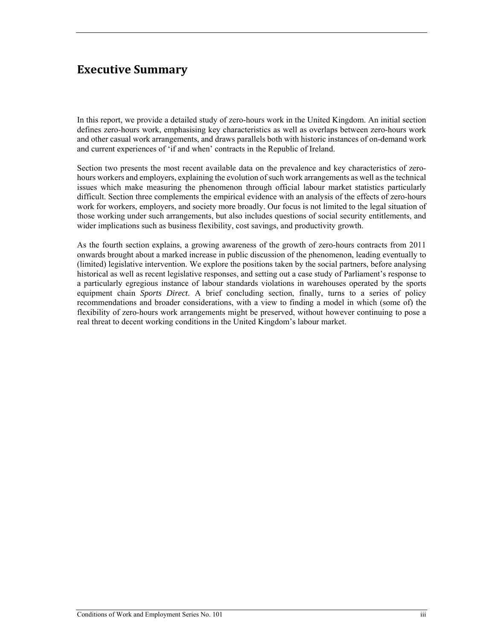# **Executive Summary**

In this report, we provide a detailed study of zero-hours work in the United Kingdom. An initial section defines zero-hours work, emphasising key characteristics as well as overlaps between zero-hours work and other casual work arrangements, and draws parallels both with historic instances of on-demand work and current experiences of 'if and when' contracts in the Republic of Ireland.

Section two presents the most recent available data on the prevalence and key characteristics of zerohours workers and employers, explaining the evolution of such work arrangements as well as the technical issues which make measuring the phenomenon through official labour market statistics particularly difficult. Section three complements the empirical evidence with an analysis of the effects of zero-hours work for workers, employers, and society more broadly. Our focus is not limited to the legal situation of those working under such arrangements, but also includes questions of social security entitlements, and wider implications such as business flexibility, cost savings, and productivity growth.

As the fourth section explains, a growing awareness of the growth of zero-hours contracts from 2011 onwards brought about a marked increase in public discussion of the phenomenon, leading eventually to (limited) legislative intervention. We explore the positions taken by the social partners, before analysing historical as well as recent legislative responses, and setting out a case study of Parliament's response to a particularly egregious instance of labour standards violations in warehouses operated by the sports equipment chain *Sports Direct*. A brief concluding section, finally, turns to a series of policy recommendations and broader considerations, with a view to finding a model in which (some of) the flexibility of zero-hours work arrangements might be preserved, without however continuing to pose a real threat to decent working conditions in the United Kingdom's labour market.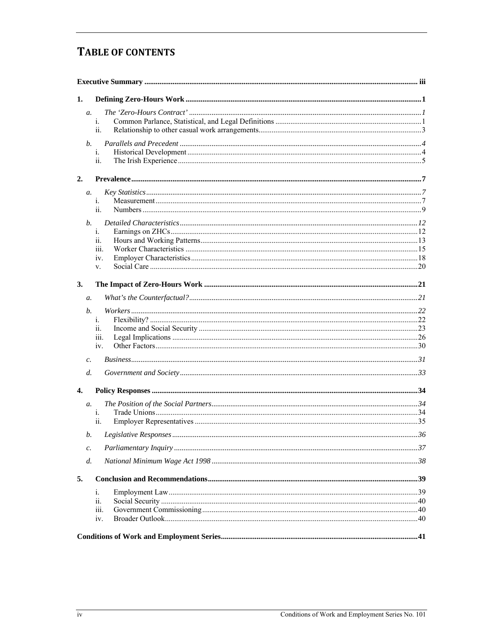# **TABLE OF CONTENTS**

| 1.              |                 |  |
|-----------------|-----------------|--|
|                 | a.<br>1.<br>ii. |  |
|                 | b.<br>1.<br>ii. |  |
| 2.              |                 |  |
|                 | a.              |  |
|                 | 1.<br>ii.       |  |
|                 | b.              |  |
|                 | i.              |  |
|                 | ii.<br>111.     |  |
|                 | 1V.             |  |
|                 | V.              |  |
| 3.              |                 |  |
| a.              |                 |  |
|                 | b.              |  |
|                 | 1.              |  |
|                 | ii.<br>111.     |  |
|                 | iv.             |  |
| $\mathcal{C}$ . |                 |  |
|                 | $d_{\cdot}$     |  |
| 4.              |                 |  |
| $a$ .           |                 |  |
|                 | 1.              |  |
|                 | ii.             |  |
|                 | b.              |  |
| $\mathfrak{c}.$ |                 |  |
| d.              |                 |  |
| 5.              |                 |  |
|                 | 1.              |  |
|                 | ii.             |  |
|                 | iii.<br>iv.     |  |
|                 |                 |  |
|                 |                 |  |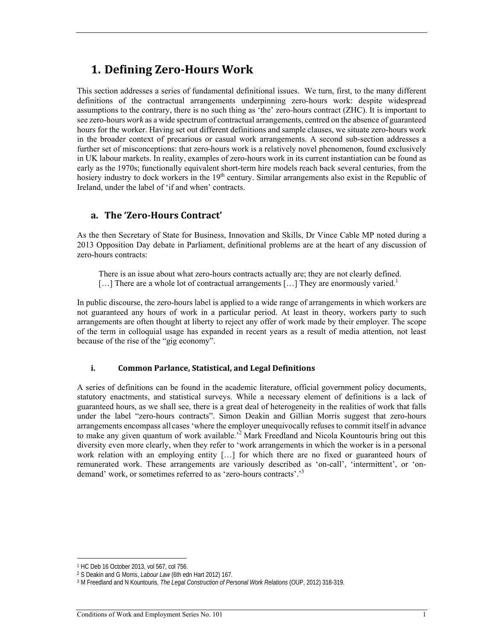# **1. Defining Zero‐Hours Work**

This section addresses a series of fundamental definitional issues. We turn, first, to the many different definitions of the contractual arrangements underpinning zero-hours work: despite widespread assumptions to the contrary, there is no such thing as 'the' zero-hours contract (ZHC). It is important to see zero-hours *work* as a wide spectrum of contractual arrangements, centred on the absence of guaranteed hours for the worker. Having set out different definitions and sample clauses, we situate zero-hours work in the broader context of precarious or casual work arrangements. A second sub-section addresses a further set of misconceptions: that zero-hours work is a relatively novel phenomenon, found exclusively in UK labour markets. In reality, examples of zero-hours work in its current instantiation can be found as early as the 1970s; functionally equivalent short-term hire models reach back several centuries, from the hosiery industry to dock workers in the 19<sup>th</sup> century. Similar arrangements also exist in the Republic of Ireland, under the label of 'if and when' contracts.

### **a. The 'Zero‐Hours Contract'**

As the then Secretary of State for Business, Innovation and Skills, Dr Vince Cable MP noted during a 2013 Opposition Day debate in Parliament, definitional problems are at the heart of any discussion of zero-hours contracts:

There is an issue about what zero-hours contracts actually are; they are not clearly defined.  $[\dots]$  There are a whole lot of contractual arrangements  $[\dots]$  They are enormously varied.<sup>1</sup>

In public discourse, the zero-hours label is applied to a wide range of arrangements in which workers are not guaranteed any hours of work in a particular period. At least in theory, workers party to such arrangements are often thought at liberty to reject any offer of work made by their employer. The scope of the term in colloquial usage has expanded in recent years as a result of media attention, not least because of the rise of the "gig economy".

#### **i. Common Parlance, Statistical, and Legal Definitions**

A series of definitions can be found in the academic literature, official government policy documents, statutory enactments, and statistical surveys. While a necessary element of definitions is a lack of guaranteed hours, as we shall see, there is a great deal of heterogeneity in the realities of work that falls under the label "zero-hours contracts". Simon Deakin and Gillian Morris suggest that zero-hours arrangements encompass all cases 'where the employer unequivocally refuses to commit itself in advance to make any given quantum of work available.<sup>22</sup> Mark Freedland and Nicola Kountouris bring out this diversity even more clearly, when they refer to 'work arrangements in which the worker is in a personal work relation with an employing entity […] for which there are no fixed or guaranteed hours of remunerated work. These arrangements are variously described as 'on-call', 'intermittent', or 'ondemand' work, or sometimes referred to as 'zero-hours contracts'.'3

<sup>1</sup> HC Deb 16 October 2013, vol 567, col 756.

<sup>&</sup>lt;sup>2</sup> S Deakin and G Morris, *Labour Law* (6th edn Hart 2012) 167.<br><sup>3</sup> M Freedland and N Kountouris, *The Legal Construction of Personal Work Relations* (OUP, 2012) 318-319.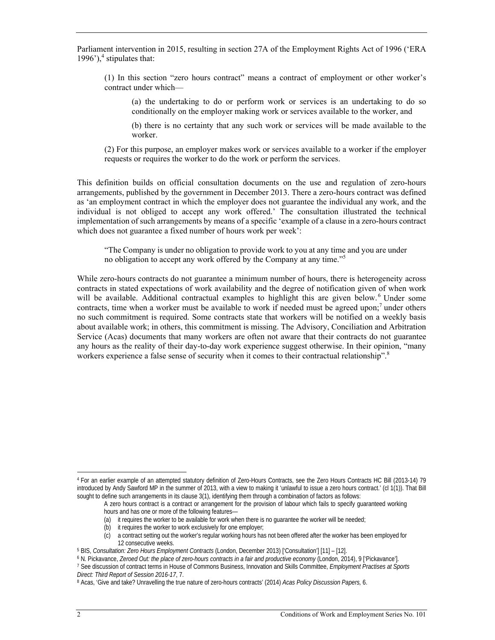Parliament intervention in 2015, resulting in section 27A of the Employment Rights Act of 1996 ('ERA 1996'), $4$  stipulates that:

(1) In this section "zero hours contract" means a contract of employment or other worker's contract under which—

(a) the undertaking to do or perform work or services is an undertaking to do so conditionally on the employer making work or services available to the worker, and

(b) there is no certainty that any such work or services will be made available to the worker.

(2) For this purpose, an employer makes work or services available to a worker if the employer requests or requires the worker to do the work or perform the services.

This definition builds on official consultation documents on the use and regulation of zero-hours arrangements, published by the government in December 2013. There a zero-hours contract was defined as 'an employment contract in which the employer does not guarantee the individual any work, and the individual is not obliged to accept any work offered.' The consultation illustrated the technical implementation of such arrangements by means of a specific 'example of a clause in a zero-hours contract which does not guarantee a fixed number of hours work per week':

"The Company is under no obligation to provide work to you at any time and you are under no obligation to accept any work offered by the Company at any time."<sup>5</sup>

While zero-hours contracts do not guarantee a minimum number of hours, there is heterogeneity across contracts in stated expectations of work availability and the degree of notification given of when work will be available. Additional contractual examples to highlight this are given below. <sup>6</sup> Under some contracts, time when a worker must be available to work if needed must be agreed upon;<sup>7</sup> under others no such commitment is required. Some contracts state that workers will be notified on a weekly basis about available work; in others, this commitment is missing. The Advisory, Conciliation and Arbitration Service (Acas) documents that many workers are often not aware that their contracts do not guarantee any hours as the reality of their day-to-day work experience suggest otherwise. In their opinion, "many workers experience a false sense of security when it comes to their contractual relationship".<sup>8</sup>

- (a) it requires the worker to be available for work when there is no guarantee the worker will be needed;
- (b) it requires the worker to work exclusively for one employer;

 $\overline{a}$ 4 For an earlier example of an attempted statutory definition of Zero-Hours Contracts, see the Zero Hours Contracts HC Bill (2013-14) 79 introduced by Andy Sawford MP in the summer of 2013, with a view to making it 'unlawful to issue a zero hours contract.' (cl 1(1)). That Bill sought to define such arrangements in its clause 3(1), identifying them through a combination of factors as follows:

A zero hours contract is a contract or arrangement for the provision of labour which fails to specify guaranteed working hours and has one or more of the following features—

<sup>(</sup>c) a contract setting out the worker's regular working hours has not been offered after the worker has been employed for

<sup>12</sup> consecutive weeks.<br><sup>5</sup> BIS, *Consultation: Zero Hours Employment Contracts* (London, December 2013) ['Consultation'] [11] – [12].<br><sup>6</sup> N. Pickavance, *Zeroed Out: the place of zero-hours contracts in a fair and productiv Direct: Third Report of Session 2016-17*, 7.

<sup>8</sup> Acas, 'Give and take? Unravelling the true nature of zero-hours contracts' (2014) *Acas Policy Discussion Papers,* 6.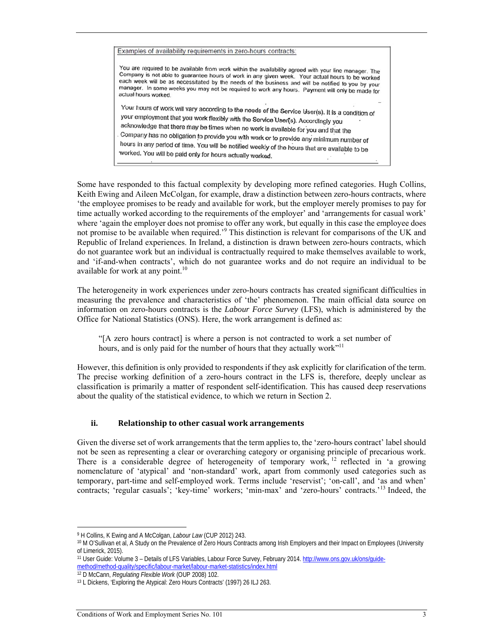Examples of availability requirements in zero-hours contracts:

You are required to be available from work within the availability agreed with your line manager. The Company is not able to guarantee hours of work in any given week. Your actual hours to be worked each week will be as necessitated by the needs of the business and will be notified to you by your manager. In some weeks you may not be required to work any hours. Payment will only be made for actual hours worked.

Your hours of work will vary according to the needs of the Service User(s). It is a condition of your employment that you work flexibly with the Service User(s). Accordingly you acknowledge that there may be times when no work is available for you and that the Company has no obligation to provide you with work is available for you and that the hours in any period of time. You will be notified weekly of the hours that are available to be<br>worked You will be acid the Nou will be notified weekly of the hours that are available to be worked. You will be paid only for hours actually worked.

Some have responded to this factual complexity by developing more refined categories. Hugh Collins, Keith Ewing and Aileen McColgan, for example, draw a distinction between zero-hours contracts, where 'the employee promises to be ready and available for work, but the employer merely promises to pay for time actually worked according to the requirements of the employer' and 'arrangements for casual work' where 'again the employer does not promise to offer any work, but equally in this case the employee does not promise to be available when required.<sup>59</sup> This distinction is relevant for comparisons of the UK and Republic of Ireland experiences. In Ireland, a distinction is drawn between zero-hours contracts, which do not guarantee work but an individual is contractually required to make themselves available to work, and 'if-and-when contracts', which do not guarantee works and do not require an individual to be available for work at any point. $10$ 

The heterogeneity in work experiences under zero-hours contracts has created significant difficulties in measuring the prevalence and characteristics of 'the' phenomenon. The main official data source on information on zero-hours contracts is the *Labour Force Survey* (LFS), which is administered by the Office for National Statistics (ONS). Here, the work arrangement is defined as:

"[A zero hours contract] is where a person is not contracted to work a set number of hours, and is only paid for the number of hours that they actually work"<sup>11</sup>

However, this definition is only provided to respondents if they ask explicitly for clarification of the term. The precise working definition of a zero-hours contract in the LFS is, therefore, deeply unclear as classification is primarily a matter of respondent self-identification. This has caused deep reservations about the quality of the statistical evidence, to which we return in Section 2.

#### **ii. Relationship to other casual work arrangements**

Given the diverse set of work arrangements that the term applies to, the 'zero-hours contract' label should not be seen as representing a clear or overarching category or organising principle of precarious work. There is a considerable degree of heterogeneity of temporary work, <sup>12</sup> reflected in 'a growing nomenclature of 'atypical' and 'non-standard' work, apart from commonly used categories such as temporary, part-time and self-employed work. Terms include 'reservist'; 'on-call', and 'as and when' contracts; 'regular casuals'; 'key-time' workers; 'min-max' and 'zero-hours' contracts.'13 Indeed, the

 $\overline{a}$ 

<sup>9</sup> H Collins, K Ewing and A McColgan, *Labour Law* (CUP 2012) 243.<br><sup>10</sup> M O'Sullivan et al, A Study on the Prevalence of Zero Hours Contracts among Irish Employers and their Impact on Employees (University of Limerick, 2015).

<sup>11</sup> User Guide: Volume 3 – Details of LFS Variables, Labour Force Survey, February 2014. http://www.ons.gov.uk/ons/guidemethod/method-quality/specific/labour-market/labour-market-statistics/index.html 12 D McCann, *Regulating Flexible Work* (OUP 2008) 102.<br><sup>13</sup> L Dickens, 'Exploring the Atypical: Zero Hours Contracts' (1997) 26 ILJ 263.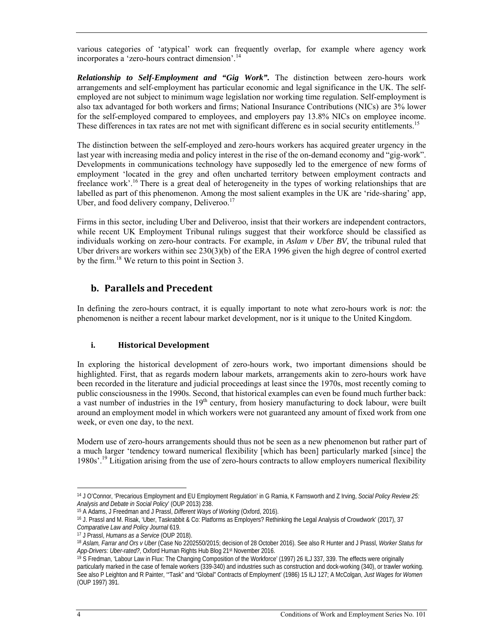various categories of 'atypical' work can frequently overlap, for example where agency work incorporates a 'zero-hours contract dimension'.14

*Relationship to Self-Employment and "Gig Work".* The distinction between zero-hours work arrangements and self-employment has particular economic and legal significance in the UK. The selfemployed are not subject to minimum wage legislation nor working time regulation. Self-employment is also tax advantaged for both workers and firms; National Insurance Contributions (NICs) are 3% lower for the self-employed compared to employees, and employers pay 13.8% NICs on employee income. These differences in tax rates are not met with significant differenc es in social security entitlements.<sup>15</sup>

The distinction between the self-employed and zero-hours workers has acquired greater urgency in the last year with increasing media and policy interest in the rise of the on-demand economy and "gig-work". Developments in communications technology have supposedly led to the emergence of new forms of employment 'located in the grey and often uncharted territory between employment contracts and freelance work'.<sup>16</sup> There is a great deal of heterogeneity in the types of working relationships that are labelled as part of this phenomenon. Among the most salient examples in the UK are 'ride-sharing' app, Uber, and food delivery company, Deliveroo.<sup>17</sup>

Firms in this sector, including Uber and Deliveroo, insist that their workers are independent contractors, while recent UK Employment Tribunal rulings suggest that their workforce should be classified as individuals working on zero-hour contracts. For example, in *Aslam v Uber BV*, the tribunal ruled that Uber drivers are workers within sec 230(3)(b) of the ERA 1996 given the high degree of control exerted by the firm.18 We return to this point in Section 3.

## **b. Parallels and Precedent**

In defining the zero-hours contract, it is equally important to note what zero-hours work is *not*: the phenomenon is neither a recent labour market development, nor is it unique to the United Kingdom.

#### **i. Historical Development**

In exploring the historical development of zero-hours work, two important dimensions should be highlighted. First, that as regards modern labour markets, arrangements akin to zero-hours work have been recorded in the literature and judicial proceedings at least since the 1970s, most recently coming to public consciousness in the 1990s. Second, that historical examples can even be found much further back: a vast number of industries in the  $19<sup>th</sup>$  century, from hosiery manufacturing to dock labour, were built around an employment model in which workers were not guaranteed any amount of fixed work from one week, or even one day, to the next.

Modern use of zero-hours arrangements should thus not be seen as a new phenomenon but rather part of a much larger 'tendency toward numerical flexibility [which has been] particularly marked [since] the 1980s'.19 Litigation arising from the use of zero-hours contracts to allow employers numerical flexibility

<sup>14</sup> J O'Connor, 'Precarious Employment and EU Employment Regulation' in G Ramia, K Farnsworth and Z Irving, *Social Policy Review 25:* 

<sup>&</sup>lt;sup>15</sup> A Adams, J Freedman and J Prassl, *Different Ways of Working* (Oxford, 2016).<br><sup>16</sup> J. Prassl and M. Risak, 'Uber, Taskrabbit & Co: Platforms as Employers? Rethinking the Legal Analysis of Crowdwork' (2017), 37

Comparative Law and Policy Journal 619.<br><sup>17</sup> J Prassl, *Humans as a Service* (OUP 2018).<br><sup>18</sup> A*slam, Farrar and Ors v Uber* (Case No 2202550/2015; decision of 28 October 2016). See also R Hunter and J Prassl, *Worker Stat* 

<sup>&</sup>lt;sup>19</sup> S Fredman, 'Labour Law in Flux: The Changing Composition of the Workforce' (1997) 26 ILJ 337, 339. The effects were originally particularly marked in the case of female workers (339-340) and industries such as construction and dock-working (340), or trawler working. See also P Leighton and R Painter, '"Task" and "Global" Contracts of Employment' (1986) 15 ILJ 127; A McColgan, *Just Wages for Women* (OUP 1997) 391.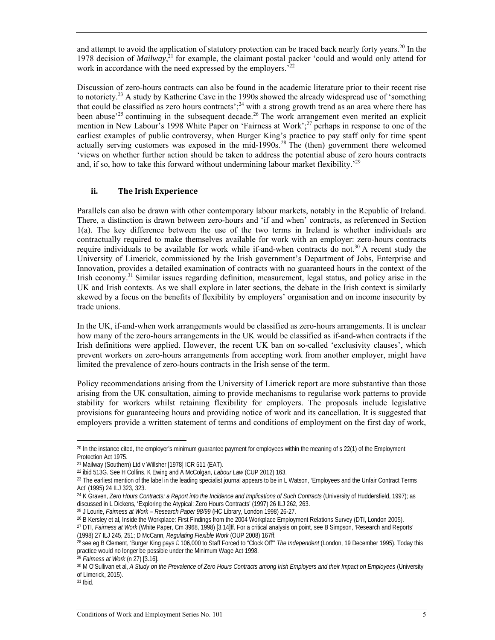and attempt to avoid the application of statutory protection can be traced back nearly forty vears.<sup>20</sup> In the 1978 decision of *Mailway*, 21 for example, the claimant postal packer 'could and would only attend for work in accordance with the need expressed by the employers.<sup>22</sup>

Discussion of zero-hours contracts can also be found in the academic literature prior to their recent rise to notoriety.<sup>23</sup> A study by Katherine Cave in the 1990s showed the already widespread use of 'something' that could be classified as zero hours contracts';24 with a strong growth trend as an area where there has been abuse<sup>225</sup> continuing in the subsequent decade.<sup>26</sup> The work arrangement even merited an explicit mention in New Labour's 1998 White Paper on 'Fairness at Work';<sup>27</sup> perhaps in response to one of the earliest examples of public controversy, when Burger King's practice to pay staff only for time spent actually serving customers was exposed in the mid-1990s.<sup>28</sup> The (then) government there welcomed 'views on whether further action should be taken to address the potential abuse of zero hours contracts and, if so, how to take this forward without undermining labour market flexibility.<sup>29</sup>

#### **ii. The Irish Experience**

Parallels can also be drawn with other contemporary labour markets, notably in the Republic of Ireland. There, a distinction is drawn between zero-hours and 'if and when' contracts, as referenced in Section 1(a). The key difference between the use of the two terms in Ireland is whether individuals are contractually required to make themselves available for work with an employer: zero-hours contracts require individuals to be available for work while if-and-when contracts do not.<sup>30</sup> A recent study the University of Limerick, commissioned by the Irish government's Department of Jobs, Enterprise and Innovation, provides a detailed examination of contracts with no guaranteed hours in the context of the Irish economy.31 Similar issues regarding definition, measurement, legal status, and policy arise in the UK and Irish contexts. As we shall explore in later sections, the debate in the Irish context is similarly skewed by a focus on the benefits of flexibility by employers' organisation and on income insecurity by trade unions.

In the UK, if-and-when work arrangements would be classified as zero-hours arrangements. It is unclear how many of the zero-hours arrangements in the UK would be classified as if-and-when contracts if the Irish definitions were applied. However, the recent UK ban on so-called 'exclusivity clauses', which prevent workers on zero-hours arrangements from accepting work from another employer, might have limited the prevalence of zero-hours contracts in the Irish sense of the term.

Policy recommendations arising from the University of Limerick report are more substantive than those arising from the UK consultation, aiming to provide mechanisms to regularise work patterns to provide stability for workers whilst retaining flexibility for employers. The proposals include legislative provisions for guaranteeing hours and providing notice of work and its cancellation. It is suggested that employers provide a written statement of terms and conditions of employment on the first day of work,

<sup>20</sup> In the instance cited, the employer's minimum guarantee payment for employees within the meaning of s 22(1) of the Employment Protection Act 1975.

<sup>&</sup>lt;sup>21</sup> Mailway (Southern) Ltd v Willsher [1978] ICR 511 (EAT).<br><sup>22</sup> Ibid 513G. See H Collins, K Ewing and A McColgan, *Labour Law* (CUP 2012) 163.

<sup>&</sup>lt;sup>23</sup> The earliest mention of the label in the leading specialist journal appears to be in L Watson, 'Employees and the Unfair Contract Terms Act' (1995) 24 ILJ 323, 323.

<sup>&</sup>lt;sup>24</sup> K Graven, *Zero Hours Contracts: a Report into the Incidence and Implications of Such Contracts* (University of Huddersfield, 1997); as discussed in L Dickens, 'Exploring the Atypical: Zero Hours Contracts' (1997) 26

<sup>&</sup>lt;sup>25</sup> J Lourie, *Fairness at Work – Research Paper 98/99* (HC Library, London 1998) 26-27.<br><sup>26</sup> B Kersley et al, Inside the Workplace: First Findings from the 2004 Workplace Employment Relations Survey (DTI, London 2005).<br><sup></sup>

<sup>(1998) 27</sup> ILJ 245, 251; D McCann, *Regulating Flexible Work* (OUP 2008) 167ff.<br><sup>28</sup> see eg B Clement, 'Burger King pays £ 106,000 to Staff Forced to "Clock Off" *The Independent* (London, 19 December 1995). Today this practice would no longer be possible under the Minimum Wage Act 1998.<br><sup>29</sup> Fairness at Work (n 27) [3.16].

<sup>&</sup>lt;sup>30</sup> M O'Sullivan et al, *A Study on the Prevalence of Zero Hours Contracts among Irish Employers and their Impact on Employees (University* of Limerick, 2015).

<sup>31</sup> Ibid.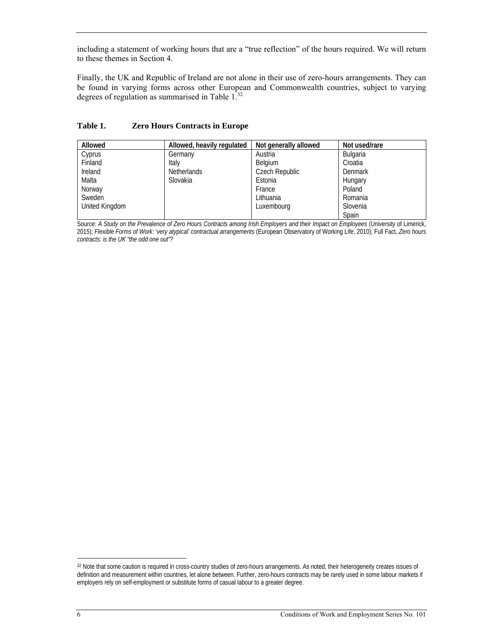including a statement of working hours that are a "true reflection" of the hours required. We will return to these themes in Section 4.

Finally, the UK and Republic of Ireland are not alone in their use of zero-hours arrangements. They can be found in varying forms across other European and Commonwealth countries, subject to varying degrees of regulation as summarised in Table 1.<sup>32</sup>

| Allowed        | Allowed, heavily regulated | Not generally allowed | Not used/rare |
|----------------|----------------------------|-----------------------|---------------|
| Cyprus         | Germany                    | Austria               | Bulgaria      |
| Finland        | Italy                      | Belgium               | Croatia       |
| Ireland        | <b>Netherlands</b>         | Czech Republic        | Denmark       |
| Malta          | Slovakia                   | Estonia               | Hungary       |
| Norway         |                            | France                | Poland        |
| Sweden         |                            | Lithuania             | Romania       |
| United Kingdom |                            | Luxembourg            | Slovenia      |
|                |                            |                       | Spain         |

#### **Table 1. Zero Hours Contracts in Europe**

Source: *A Study on the Prevalence of Zero Hours Contracts among Irish Employers and their Impact on Employees* (University of Limerick, 2015); *Flexible Forms of Work: 'very atypical' contractual arrangements* (European Observatory of Working Life, 2010); Full Fact, *Zero hours contracts: is the UK "the odd one out"?*

<sup>32</sup> Note that some caution is required in cross-country studies of zero-hours arrangements. As noted, their heterogeneity creates issues of definition and measurement within countries, let alone between. Further, zero-hours contracts may be rarely used in some labour markets if employers rely on self-employment or substitute forms of casual labour to a greater degree.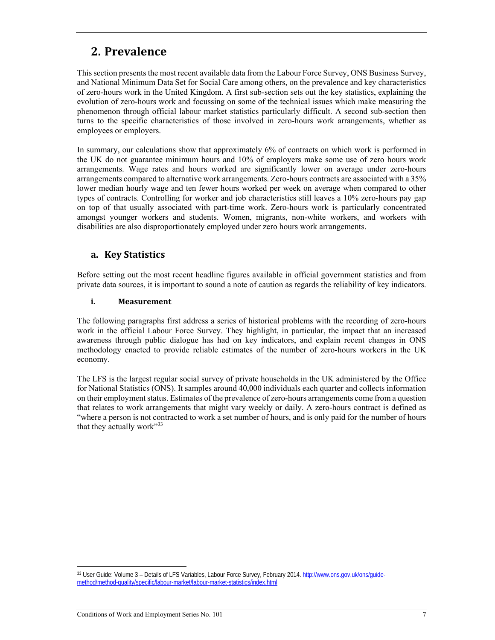# **2.** Prevalence

This section presents the most recent available data from the Labour Force Survey, ONS Business Survey, and National Minimum Data Set for Social Care among others, on the prevalence and key characteristics of zero-hours work in the United Kingdom. A first sub-section sets out the key statistics, explaining the evolution of zero-hours work and focussing on some of the technical issues which make measuring the phenomenon through official labour market statistics particularly difficult. A second sub-section then turns to the specific characteristics of those involved in zero-hours work arrangements, whether as employees or employers.

In summary, our calculations show that approximately 6% of contracts on which work is performed in the UK do not guarantee minimum hours and 10% of employers make some use of zero hours work arrangements. Wage rates and hours worked are significantly lower on average under zero-hours arrangements compared to alternative work arrangements. Zero-hours contracts are associated with a 35% lower median hourly wage and ten fewer hours worked per week on average when compared to other types of contracts. Controlling for worker and job characteristics still leaves a 10% zero-hours pay gap on top of that usually associated with part-time work. Zero-hours work is particularly concentrated amongst younger workers and students. Women, migrants, non-white workers, and workers with disabilities are also disproportionately employed under zero hours work arrangements.

### **a. Key Statistics**

Before setting out the most recent headline figures available in official government statistics and from private data sources, it is important to sound a note of caution as regards the reliability of key indicators.

#### **i. Measurement**

The following paragraphs first address a series of historical problems with the recording of zero-hours work in the official Labour Force Survey. They highlight, in particular, the impact that an increased awareness through public dialogue has had on key indicators, and explain recent changes in ONS methodology enacted to provide reliable estimates of the number of zero-hours workers in the UK economy.

The LFS is the largest regular social survey of private households in the UK administered by the Office for National Statistics (ONS). It samples around 40,000 individuals each quarter and collects information on their employment status. Estimates of the prevalence of zero-hours arrangements come from a question that relates to work arrangements that might vary weekly or daily. A zero-hours contract is defined as "where a person is not contracted to work a set number of hours, and is only paid for the number of hours that they actually work"<sup>33</sup>

<sup>33</sup> User Guide: Volume 3 – Details of LFS Variables, Labour Force Survey, February 2014. http://www.ons.gov.uk/ons/guidemethod/method-quality/specific/labour-market/labour-market-statistics/index.html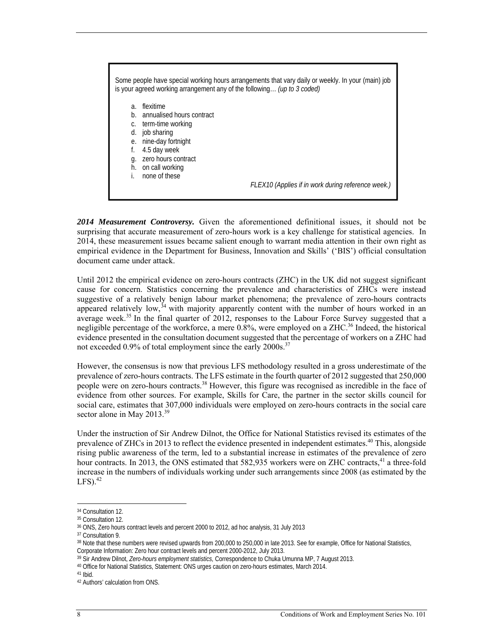

*2014 Measurement Controversy.* Given the aforementioned definitional issues, it should not be surprising that accurate measurement of zero-hours work is a key challenge for statistical agencies. In 2014, these measurement issues became salient enough to warrant media attention in their own right as empirical evidence in the Department for Business, Innovation and Skills' ('BIS') official consultation document came under attack.

Until 2012 the empirical evidence on zero-hours contracts (ZHC) in the UK did not suggest significant cause for concern. Statistics concerning the prevalence and characteristics of ZHCs were instead suggestive of a relatively benign labour market phenomena; the prevalence of zero-hours contracts appeared relatively low,  $34$  with majority apparently content with the number of hours worked in an average week.<sup>35</sup> In the final quarter of 2012, responses to the Labour Force Survey suggested that a negligible percentage of the workforce, a mere 0.8%, were employed on a ZHC.<sup>36</sup> Indeed, the historical evidence presented in the consultation document suggested that the percentage of workers on a ZHC had not exceeded 0.9% of total employment since the early 2000s.<sup>37</sup>

However, the consensus is now that previous LFS methodology resulted in a gross underestimate of the prevalence of zero-hours contracts. The LFS estimate in the fourth quarter of 2012 suggested that 250,000 people were on zero-hours contracts.38 However, this figure was recognised as incredible in the face of evidence from other sources. For example, Skills for Care, the partner in the sector skills council for social care, estimates that 307,000 individuals were employed on zero-hours contracts in the social care sector alone in May 2013.<sup>39</sup>

Under the instruction of Sir Andrew Dilnot, the Office for National Statistics revised its estimates of the prevalence of ZHCs in 2013 to reflect the evidence presented in independent estimates.40 This, alongside rising public awareness of the term, led to a substantial increase in estimates of the prevalence of zero hour contracts. In 2013, the ONS estimated that 582,935 workers were on ZHC contracts,<sup>41</sup> a three-fold increase in the numbers of individuals working under such arrangements since 2008 (as estimated by the  $LES$ ).  $42$ 

<sup>34</sup> Consultation 12.

<sup>35</sup> Consultation 12.

<sup>36</sup> ONS, Zero hours contract levels and percent 2000 to 2012, ad hoc analysis, 31 July 2013

<sup>37</sup> Consultation 9.

<sup>38</sup> Note that these numbers were revised upwards from 200,000 to 250,000 in late 2013. See for example, Office for National Statistics, Corporate Information: Zero hour contract levels and percent 2000-2012, July 2013.<br><sup>39</sup> Sir Andrew Dilnot, *Zero-hours employment statistics*, Correspondence to Chuka Umunna MP, 7 August 2013.

<sup>&</sup>lt;sup>40</sup> Office for National Statistics, Statement: ONS urges caution on zero-hours estimates, March 2014.

 $41$  Ibid.

<sup>42</sup> Authors' calculation from ONS.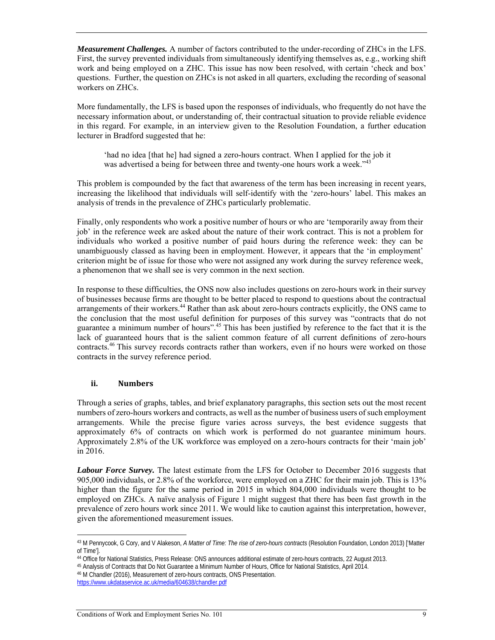*Measurement Challenges.* A number of factors contributed to the under-recording of ZHCs in the LFS. First, the survey prevented individuals from simultaneously identifying themselves as, e.g., working shift work and being employed on a ZHC. This issue has now been resolved, with certain 'check and box' questions. Further, the question on ZHCs is not asked in all quarters, excluding the recording of seasonal workers on ZHCs.

More fundamentally, the LFS is based upon the responses of individuals, who frequently do not have the necessary information about, or understanding of, their contractual situation to provide reliable evidence in this regard. For example, in an interview given to the Resolution Foundation, a further education lecturer in Bradford suggested that he:

'had no idea [that he] had signed a zero-hours contract. When I applied for the job it was advertised a being for between three and twenty-one hours work a week."<sup>43</sup>

This problem is compounded by the fact that awareness of the term has been increasing in recent years, increasing the likelihood that individuals will self-identify with the 'zero-hours' label. This makes an analysis of trends in the prevalence of ZHCs particularly problematic.

Finally, only respondents who work a positive number of hours or who are 'temporarily away from their job' in the reference week are asked about the nature of their work contract. This is not a problem for individuals who worked a positive number of paid hours during the reference week: they can be unambiguously classed as having been in employment. However, it appears that the 'in employment' criterion might be of issue for those who were not assigned any work during the survey reference week, a phenomenon that we shall see is very common in the next section.

In response to these difficulties, the ONS now also includes questions on zero-hours work in their survey of businesses because firms are thought to be better placed to respond to questions about the contractual arrangements of their workers.44 Rather than ask about zero-hours contracts explicitly, the ONS came to the conclusion that the most useful definition for purposes of this survey was "contracts that do not guarantee a minimum number of hours".45 This has been justified by reference to the fact that it is the lack of guaranteed hours that is the salient common feature of all current definitions of zero-hours contracts.<sup>46</sup> This survey records contracts rather than workers, even if no hours were worked on those contracts in the survey reference period.

#### **ii. Numbers**

Through a series of graphs, tables, and brief explanatory paragraphs, this section sets out the most recent numbers of zero-hours workers and contracts, as well as the number of business users of such employment arrangements. While the precise figure varies across surveys, the best evidence suggests that approximately 6% of contracts on which work is performed do not guarantee minimum hours. Approximately 2.8% of the UK workforce was employed on a zero-hours contracts for their 'main job' in 2016.

*Labour Force Survey.* The latest estimate from the LFS for October to December 2016 suggests that 905,000 individuals, or 2.8% of the workforce, were employed on a ZHC for their main job. This is 13% higher than the figure for the same period in 2015 in which 804,000 individuals were thought to be employed on ZHCs. A naïve analysis of Figure 1 might suggest that there has been fast growth in the prevalence of zero hours work since 2011. We would like to caution against this interpretation, however, given the aforementioned measurement issues.

 $\overline{a}$ 43 M Pennycook, G Cory, and V Alakeson, *A Matter of Time: The rise of zero-hours contracts* (Resolution Foundation, London 2013) ['Matter of Time'].<br><sup>44</sup> Office for National Statistics, Press Release: ONS announces additional estimate of zero-hours contracts, 22 August 2013.

<sup>45</sup> Analysis of Contracts that Do Not Guarantee a Minimum Number of Hours, Office for National Statistics, April 2014.

<sup>46</sup> M Chandler (2016), Measurement of zero-hours contracts, ONS Presentation. https://www.ukdataservice.ac.uk/media/604638/chandler.pdf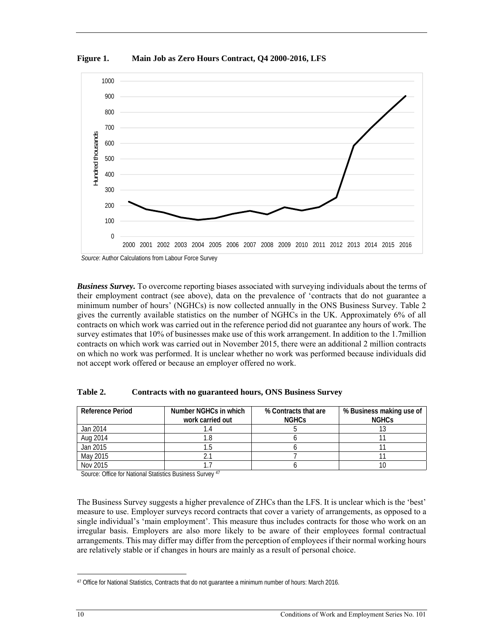**Figure 1. Main Job as Zero Hours Contract, Q4 2000-2016, LFS** 



*Business Survey.* To overcome reporting biases associated with surveying individuals about the terms of their employment contract (see above), data on the prevalence of 'contracts that do not guarantee a minimum number of hours' (NGHCs) is now collected annually in the ONS Business Survey. Table 2 gives the currently available statistics on the number of NGHCs in the UK. Approximately 6% of all contracts on which work was carried out in the reference period did not guarantee any hours of work. The survey estimates that 10% of businesses make use of this work arrangement. In addition to the 1.7million contracts on which work was carried out in November 2015, there were an additional 2 million contracts on which no work was performed. It is unclear whether no work was performed because individuals did not accept work offered or because an employer offered no work.

| <b>Reference Period</b> | Number NGHCs in which<br>work carried out | % Contracts that are<br><b>NGHCs</b> | % Business making use of<br><b>NGHCS</b> |
|-------------------------|-------------------------------------------|--------------------------------------|------------------------------------------|
| Jan 2014                |                                           |                                      |                                          |
| Aug 2014                |                                           |                                      |                                          |
| Jan 2015                |                                           |                                      |                                          |
| May 2015                |                                           |                                      |                                          |
| Nov 2015                |                                           |                                      |                                          |

**Table 2. Contracts with no guaranteed hours, ONS Business Survey** 

Source: Office for National Statistics Business Survey 47

The Business Survey suggests a higher prevalence of ZHCs than the LFS. It is unclear which is the 'best' measure to use. Employer surveys record contracts that cover a variety of arrangements, as opposed to a single individual's 'main employment'. This measure thus includes contracts for those who work on an irregular basis. Employers are also more likely to be aware of their employees formal contractual arrangements. This may differ may differ from the perception of employees if their normal working hours are relatively stable or if changes in hours are mainly as a result of personal choice.

<sup>47</sup> Office for National Statistics, Contracts that do not guarantee a minimum number of hours: March 2016.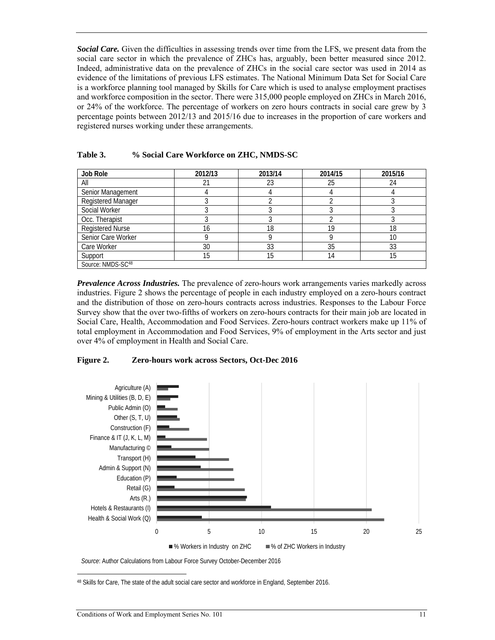*Social Care.* Given the difficulties in assessing trends over time from the LFS, we present data from the social care sector in which the prevalence of ZHCs has, arguably, been better measured since 2012. Indeed, administrative data on the prevalence of ZHCs in the social care sector was used in 2014 as evidence of the limitations of previous LFS estimates. The National Minimum Data Set for Social Care is a workforce planning tool managed by Skills for Care which is used to analyse employment practises and workforce composition in the sector. There were 315,000 people employed on ZHCs in March 2016, or 24% of the workforce. The percentage of workers on zero hours contracts in social care grew by 3 percentage points between 2012/13 and 2015/16 due to increases in the proportion of care workers and registered nurses working under these arrangements.

| Job Role                  | 2012/13 | 2013/14 | 2014/15 | 2015/16 |
|---------------------------|---------|---------|---------|---------|
| All                       |         | 23      | 25      | 24      |
| Senior Management         |         |         |         |         |
| <b>Registered Manager</b> |         |         |         |         |
| Social Worker             |         |         |         |         |
| Occ. Therapist            |         |         |         |         |
| <b>Registered Nurse</b>   | 16      | 18      | 19      | 18      |
| Senior Care Worker        |         |         | Ω       | 10      |
| Care Worker               | 30      | 33      | 35      | 33      |
| Support                   | 15      | 15      | 14      | 15      |
| Source: NMDS-SC48         |         |         |         |         |

#### **Table 3. % Social Care Workforce on ZHC, NMDS-SC**

*Prevalence Across Industries.* The prevalence of zero-hours work arrangements varies markedly across industries. Figure 2 shows the percentage of people in each industry employed on a zero-hours contract and the distribution of those on zero-hours contracts across industries. Responses to the Labour Force Survey show that the over two-fifths of workers on zero-hours contracts for their main job are located in Social Care, Health, Accommodation and Food Services. Zero-hours contract workers make up 11% of total employment in Accommodation and Food Services, 9% of employment in the Arts sector and just over 4% of employment in Health and Social Care.

#### **Figure 2. Zero-hours work across Sectors, Oct-Dec 2016**



*Source*: Author Calculations from Labour Force Survey October-December 2016

<sup>48</sup> Skills for Care, The state of the adult social care sector and workforce in England, September 2016.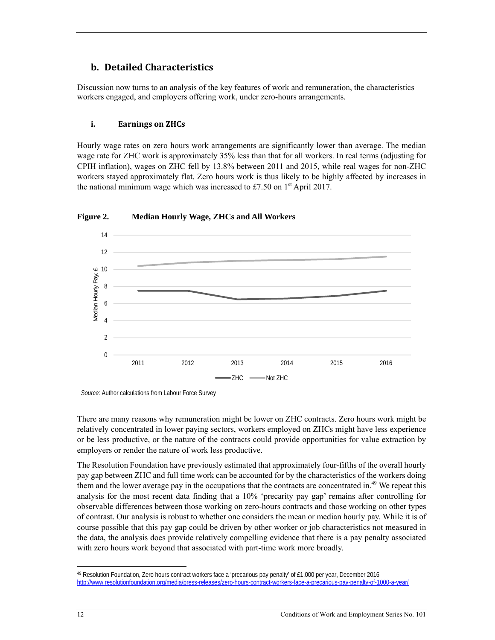## **b.** Detailed Characteristics

Discussion now turns to an analysis of the key features of work and remuneration, the characteristics workers engaged, and employers offering work, under zero-hours arrangements.

#### **i. Earnings on ZHCs**

Hourly wage rates on zero hours work arrangements are significantly lower than average. The median wage rate for ZHC work is approximately 35% less than that for all workers. In real terms (adjusting for CPIH inflation), wages on ZHC fell by 13.8% between 2011 and 2015, while real wages for non-ZHC workers stayed approximately flat. Zero hours work is thus likely to be highly affected by increases in the national minimum wage which was increased to £7.50 on  $1<sup>st</sup>$  April 2017.



**Figure 2. Median Hourly Wage, ZHCs and All Workers** 

*Source:* Author calculations from Labour Force Survey

There are many reasons why remuneration might be lower on ZHC contracts. Zero hours work might be relatively concentrated in lower paying sectors, workers employed on ZHCs might have less experience or be less productive, or the nature of the contracts could provide opportunities for value extraction by employers or render the nature of work less productive.

The Resolution Foundation have previously estimated that approximately four-fifths of the overall hourly pay gap between ZHC and full time work can be accounted for by the characteristics of the workers doing them and the lower average pay in the occupations that the contracts are concentrated in.<sup>49</sup> We repeat this analysis for the most recent data finding that a 10% 'precarity pay gap' remains after controlling for observable differences between those working on zero-hours contracts and those working on other types of contrast. Our analysis is robust to whether one considers the mean or median hourly pay. While it is of course possible that this pay gap could be driven by other worker or job characteristics not measured in the data, the analysis does provide relatively compelling evidence that there is a pay penalty associated with zero hours work beyond that associated with part-time work more broadly.

<sup>49</sup> Resolution Foundation, Zero hours contract workers face a 'precarious pay penalty' of £1,000 per year, December 2016 http://www.resolutionfoundation.org/media/press-releases/zero-hours-contract-workers-face-a-precarious-pay-penalty-of-1000-a-year/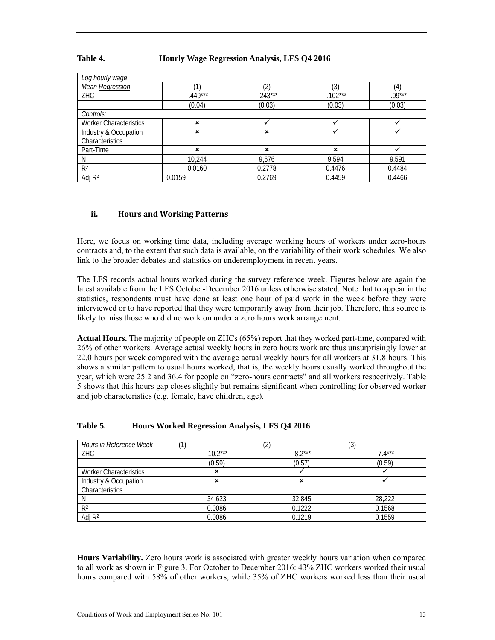#### **Table 4. Hourly Wage Regression Analysis, LFS Q4 2016**

| Log hourly wage               |           |            |            |           |
|-------------------------------|-----------|------------|------------|-----------|
| Mean Regression               |           | 2          | ′3)        | (4)       |
| ZHC                           | $-449***$ | $-.243***$ | $-.102***$ | $-.09***$ |
|                               | (0.04)    | (0.03)     | (0.03)     | (0.03)    |
| Controls:                     |           |            |            |           |
| <b>Worker Characteristics</b> | ×         |            |            |           |
| Industry & Occupation         | ×         | ×          |            |           |
| Characteristics               |           |            |            |           |
| Part-Time                     | ×         | ×          | ×          |           |
| N                             | 10,244    | 9,676      | 9,594      | 9.591     |
| R <sup>2</sup>                | 0.0160    | 0.2778     | 0.4476     | 0.4484    |
| Adj $R^2$                     | 0.0159    | 0.2769     | 0.4459     | 0.4466    |

#### **ii. Hours and Working Patterns**

Here, we focus on working time data, including average working hours of workers under zero-hours contracts and, to the extent that such data is available, on the variability of their work schedules. We also link to the broader debates and statistics on underemployment in recent years.

The LFS records actual hours worked during the survey reference week. Figures below are again the latest available from the LFS October-December 2016 unless otherwise stated. Note that to appear in the statistics, respondents must have done at least one hour of paid work in the week before they were interviewed or to have reported that they were temporarily away from their job. Therefore, this source is likely to miss those who did no work on under a zero hours work arrangement.

**Actual Hours.** The majority of people on ZHCs (65%) report that they worked part-time, compared with 26% of other workers. Average actual weekly hours in zero hours work are thus unsurprisingly lower at 22.0 hours per week compared with the average actual weekly hours for all workers at 31.8 hours. This shows a similar pattern to usual hours worked, that is, the weekly hours usually worked throughout the year, which were 25.2 and 36.4 for people on "zero-hours contracts" and all workers respectively. Table 5 shows that this hours gap closes slightly but remains significant when controlling for observed worker and job characteristics (e.g. female, have children, age).

| Hours in Reference Week       | 4          | ัก<br>৻∠  | (3        |
|-------------------------------|------------|-----------|-----------|
| ZHC                           | $-10.2***$ | $-8.2***$ | $-7.4***$ |
|                               | (0.59)     | (0.57)    | (0.59)    |
| <b>Worker Characteristics</b> | ×          |           |           |
| Industry & Occupation         | ×          | ×         |           |
| Characteristics               |            |           |           |
|                               | 34,623     | 32,845    | 28,222    |
| R <sup>2</sup>                | 0.0086     | 0.1222    | 0.1568    |
| Adj $R^2$                     | 0.0086     | 0.1219    | 0.1559    |

#### **Table 5. Hours Worked Regression Analysis, LFS Q4 2016**

**Hours Variability.** Zero hours work is associated with greater weekly hours variation when compared to all work as shown in Figure 3. For October to December 2016: 43% ZHC workers worked their usual hours compared with 58% of other workers, while 35% of ZHC workers worked less than their usual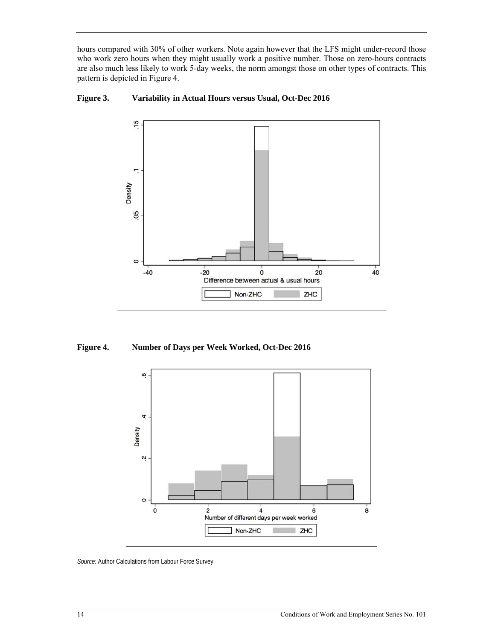hours compared with 30% of other workers. Note again however that the LFS might under-record those who work zero hours when they might usually work a positive number. Those on zero-hours contracts are also much less likely to work 5-day weeks, the norm amongst those on other types of contracts. This pattern is depicted in Figure 4.



**Figure 3. Variability in Actual Hours versus Usual, Oct-Dec 2016** 

**Figure 4. Number of Days per Week Worked, Oct-Dec 2016** 



*Source:* Author Calculations from Labour Force Survey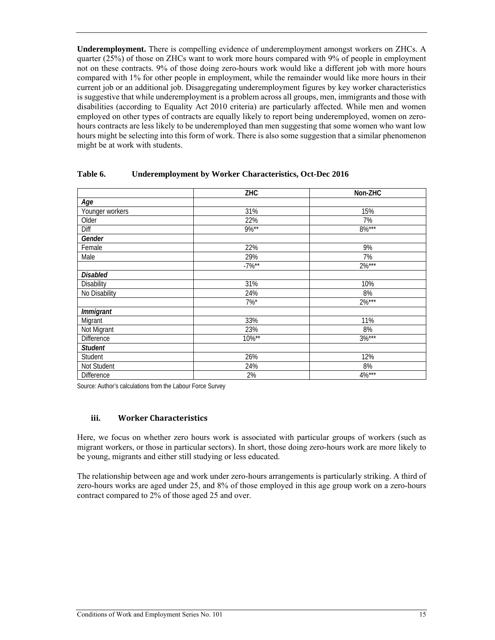**Underemployment.** There is compelling evidence of underemployment amongst workers on ZHCs. A quarter (25%) of those on ZHCs want to work more hours compared with 9% of people in employment not on these contracts. 9% of those doing zero-hours work would like a different job with more hours compared with 1% for other people in employment, while the remainder would like more hours in their current job or an additional job. Disaggregating underemployment figures by key worker characteristics is suggestive that while underemployment is a problem across all groups, men, immigrants and those with disabilities (according to Equality Act 2010 criteria) are particularly affected. While men and women employed on other types of contracts are equally likely to report being underemployed, women on zerohours contracts are less likely to be underemployed than men suggesting that some women who want low hours might be selecting into this form of work. There is also some suggestion that a similar phenomenon might be at work with students.

|                   | ZHC      | Non-ZHC  |
|-------------------|----------|----------|
| Age               |          |          |
| Younger workers   | 31%      | 15%      |
| Older             | 22%      | 7%       |
| Diff              | $9\%**$  | $8\%***$ |
| Gender            |          |          |
| Female            | 22%      | 9%       |
| Male              | 29%      | 7%       |
|                   | $-7\%**$ | $2\%***$ |
| <b>Disabled</b>   |          |          |
| <b>Disability</b> | 31%      | 10%      |
| No Disability     | 24%      | 8%       |
|                   | $7\%$ *  | $2\%***$ |
| Immigrant         |          |          |
| Migrant           | 33%      | 11%      |
| Not Migrant       | 23%      | 8%       |
| Difference        | 10%**    | $3\%***$ |
| <b>Student</b>    |          |          |
| Student           | 26%      | 12%      |
| Not Student       | 24%      | 8%       |
| <b>Difference</b> | 2%       | $4\%***$ |

#### **Table 6. Underemployment by Worker Characteristics, Oct-Dec 2016**

Source: Author's calculations from the Labour Force Survey

#### **iii. Worker Characteristics**

Here, we focus on whether zero hours work is associated with particular groups of workers (such as migrant workers, or those in particular sectors). In short, those doing zero-hours work are more likely to be young, migrants and either still studying or less educated.

The relationship between age and work under zero-hours arrangements is particularly striking. A third of zero-hours works are aged under 25, and 8% of those employed in this age group work on a zero-hours contract compared to 2% of those aged 25 and over.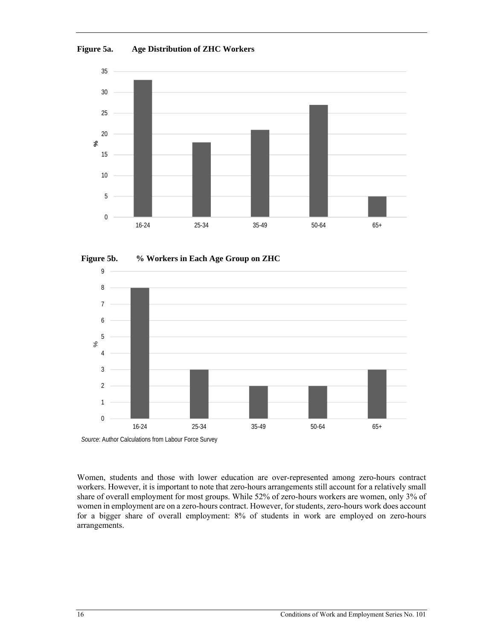**Figure 5a. Age Distribution of ZHC Workers** 







*Source*: Author Calculations from Labour Force Survey

Women, students and those with lower education are over-represented among zero-hours contract workers. However, it is important to note that zero-hours arrangements still account for a relatively small share of overall employment for most groups. While 52% of zero-hours workers are women, only 3% of women in employment are on a zero-hours contract. However, for students, zero-hours work does account for a bigger share of overall employment: 8% of students in work are employed on zero-hours arrangements.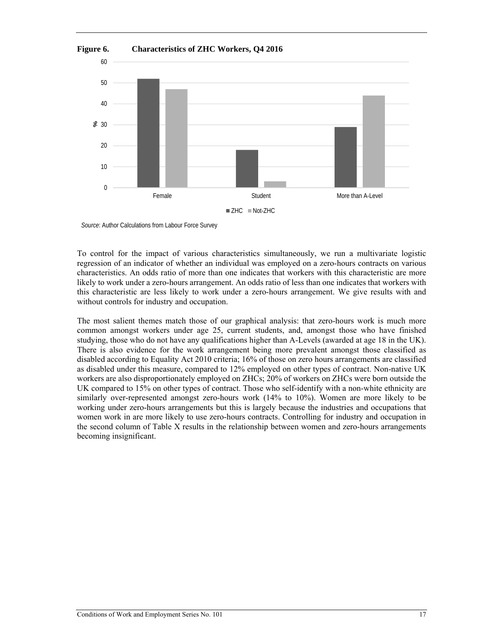

*Source*: Author Calculations from Labour Force Survey

To control for the impact of various characteristics simultaneously, we run a multivariate logistic regression of an indicator of whether an individual was employed on a zero-hours contracts on various characteristics. An odds ratio of more than one indicates that workers with this characteristic are more likely to work under a zero-hours arrangement. An odds ratio of less than one indicates that workers with this characteristic are less likely to work under a zero-hours arrangement. We give results with and without controls for industry and occupation.

The most salient themes match those of our graphical analysis: that zero-hours work is much more common amongst workers under age 25, current students, and, amongst those who have finished studying, those who do not have any qualifications higher than A-Levels (awarded at age 18 in the UK). There is also evidence for the work arrangement being more prevalent amongst those classified as disabled according to Equality Act 2010 criteria; 16% of those on zero hours arrangements are classified as disabled under this measure, compared to 12% employed on other types of contract. Non-native UK workers are also disproportionately employed on ZHCs; 20% of workers on ZHCs were born outside the UK compared to 15% on other types of contract. Those who self-identify with a non-white ethnicity are similarly over-represented amongst zero-hours work (14% to 10%). Women are more likely to be working under zero-hours arrangements but this is largely because the industries and occupations that women work in are more likely to use zero-hours contracts. Controlling for industry and occupation in the second column of Table X results in the relationship between women and zero-hours arrangements becoming insignificant.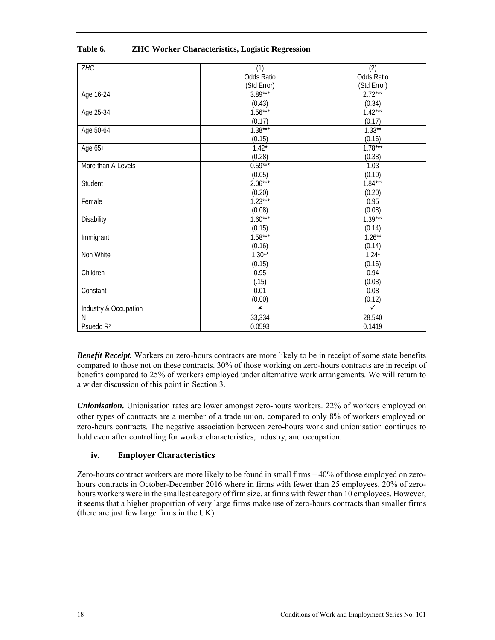| ZHC                   | (1)               | (2)               |
|-----------------------|-------------------|-------------------|
|                       | <b>Odds Ratio</b> | <b>Odds Ratio</b> |
|                       | (Std Error)       | (Std Error)       |
| Age 16-24             | $3.89***$         | $2.72***$         |
|                       | (0.43)            | (0.34)            |
| Age 25-34             | $1.56***$         | $1.42***$         |
|                       | (0.17)            | (0.17)            |
| Age 50-64             | $1.38***$         | $1.33**$          |
|                       | (0.15)            | (0.16)            |
| Age 65+               | $1.42*$           | $1.78***$         |
|                       | (0.28)            | (0.38)            |
| More than A-Levels    | $0.59***$         | 1.03              |
|                       | (0.05)            | (0.10)            |
| Student               | $2.06***$         | $1.84***$         |
|                       | (0.20)            | (0.20)            |
| Female                | $1.23***$         | 0.95              |
|                       | (0.08)            | (0.08)            |
| Disability            | $1.60***$         | $1.39***$         |
|                       | (0.15)            | (0.14)            |
| Immigrant             | $1.58***$         | $1.26***$         |
|                       | (0.16)            | (0.14)            |
| Non White             | $1.30**$          | $1.24*$           |
|                       | (0.15)            | (0.16)            |
| Children              | 0.95              | 0.94              |
|                       | (.15)             | (0.08)            |
| Constant              | 0.01              | 0.08              |
|                       | (0.00)            | (0.12)            |
| Industry & Occupation | $\pmb{\times}$    | $\checkmark$      |
| N                     | 33,334            | 28,540            |
| Psuedo R <sup>2</sup> | 0.0593            | 0.1419            |

#### **Table 6. ZHC Worker Characteristics, Logistic Regression**

*Benefit Receipt.* Workers on zero-hours contracts are more likely to be in receipt of some state benefits compared to those not on these contracts. 30% of those working on zero-hours contracts are in receipt of benefits compared to 25% of workers employed under alternative work arrangements. We will return to a wider discussion of this point in Section 3.

*Unionisation.* Unionisation rates are lower amongst zero-hours workers. 22% of workers employed on other types of contracts are a member of a trade union, compared to only 8% of workers employed on zero-hours contracts. The negative association between zero-hours work and unionisation continues to hold even after controlling for worker characteristics, industry, and occupation.

#### **iv. Employer Characteristics**

Zero-hours contract workers are more likely to be found in small firms – 40% of those employed on zerohours contracts in October-December 2016 where in firms with fewer than 25 employees. 20% of zerohours workers were in the smallest category of firm size, at firms with fewer than 10 employees. However, it seems that a higher proportion of very large firms make use of zero-hours contracts than smaller firms (there are just few large firms in the UK).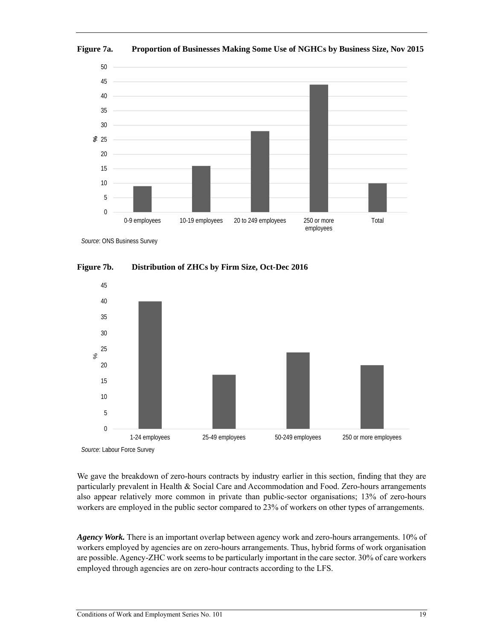

**Figure 7a. Proportion of Businesses Making Some Use of NGHCs by Business Size, Nov 2015**

*Source*: ONS Business Survey





*Source*: Labour Force Survey

We gave the breakdown of zero-hours contracts by industry earlier in this section, finding that they are particularly prevalent in Health & Social Care and Accommodation and Food. Zero-hours arrangements also appear relatively more common in private than public-sector organisations; 13% of zero-hours workers are employed in the public sector compared to 23% of workers on other types of arrangements.

*Agency Work.* There is an important overlap between agency work and zero-hours arrangements. 10% of workers employed by agencies are on zero-hours arrangements. Thus, hybrid forms of work organisation are possible. Agency-ZHC work seems to be particularly important in the care sector. 30% of care workers employed through agencies are on zero-hour contracts according to the LFS.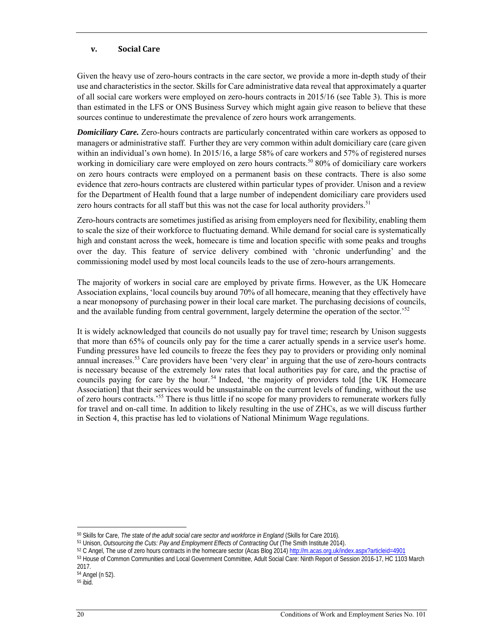#### **v. Social Care**

Given the heavy use of zero-hours contracts in the care sector, we provide a more in-depth study of their use and characteristics in the sector. Skills for Care administrative data reveal that approximately a quarter of all social care workers were employed on zero-hours contracts in 2015/16 (see Table 3). This is more than estimated in the LFS or ONS Business Survey which might again give reason to believe that these sources continue to underestimate the prevalence of zero hours work arrangements.

*Domiciliary Care.* Zero-hours contracts are particularly concentrated within care workers as opposed to managers or administrative staff. Further they are very common within adult domiciliary care (care given within an individual's own home). In 2015/16, a large 58% of care workers and 57% of registered nurses working in domiciliary care were employed on zero hours contracts.<sup>50</sup> 80% of domiciliary care workers on zero hours contracts were employed on a permanent basis on these contracts. There is also some evidence that zero-hours contracts are clustered within particular types of provider. Unison and a review for the Department of Health found that a large number of independent domiciliary care providers used zero hours contracts for all staff but this was not the case for local authority providers.  $51$ 

Zero-hours contracts are sometimes justified as arising from employers need for flexibility, enabling them to scale the size of their workforce to fluctuating demand. While demand for social care is systematically high and constant across the week, homecare is time and location specific with some peaks and troughs over the day. This feature of service delivery combined with 'chronic underfunding' and the commissioning model used by most local councils leads to the use of zero-hours arrangements.

The majority of workers in social care are employed by private firms. However, as the UK Homecare Association explains, 'local councils buy around 70% of all homecare, meaning that they effectively have a near monopsony of purchasing power in their local care market. The purchasing decisions of councils, and the available funding from central government, largely determine the operation of the sector.<sup>52</sup>

It is widely acknowledged that councils do not usually pay for travel time; research by Unison suggests that more than 65% of councils only pay for the time a carer actually spends in a service user's home. Funding pressures have led councils to freeze the fees they pay to providers or providing only nominal annual increases.<sup>53</sup> Care providers have been 'very clear' in arguing that the use of zero-hours contracts is necessary because of the extremely low rates that local authorities pay for care, and the practise of councils paying for care by the hour.<sup>54</sup> Indeed, 'the majority of providers told [the UK Homecare Association] that their services would be unsustainable on the current levels of funding, without the use of zero hours contracts.<sup>555</sup> There is thus little if no scope for many providers to remunerate workers fully for travel and on-call time. In addition to likely resulting in the use of ZHCs, as we will discuss further in Section 4, this practise has led to violations of National Minimum Wage regulations.

 $\overline{a}$ 

<sup>&</sup>lt;sup>50</sup> Skills for Care, *The state of the adult social care sector and workforce in England* (Skills for Care 2016).<br><sup>51</sup> Unison, *Outsourcing the Cuts: Pay and Employment Effects of Contracting Out* (The Smith Institute 201

<sup>2017.</sup> 

<sup>54</sup> Angel (n 52).

<sup>55</sup> ibid.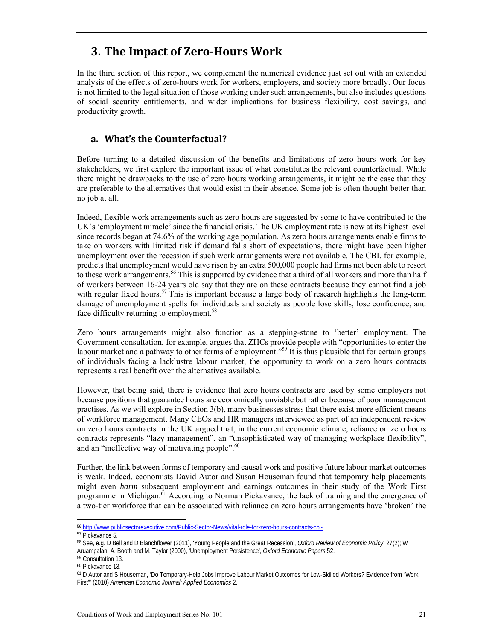# **3. The Impact of Zero‐Hours Work**

In the third section of this report, we complement the numerical evidence just set out with an extended analysis of the effects of zero-hours work for workers, employers, and society more broadly. Our focus is not limited to the legal situation of those working under such arrangements, but also includes questions of social security entitlements, and wider implications for business flexibility, cost savings, and productivity growth.

### **a. What's the Counterfactual?**

Before turning to a detailed discussion of the benefits and limitations of zero hours work for key stakeholders, we first explore the important issue of what constitutes the relevant counterfactual. While there might be drawbacks to the use of zero hours working arrangements, it might be the case that they are preferable to the alternatives that would exist in their absence. Some job is often thought better than no job at all.

Indeed, flexible work arrangements such as zero hours are suggested by some to have contributed to the UK's 'employment miracle' since the financial crisis. The UK employment rate is now at its highest level since records began at 74.6% of the working age population. As zero hours arrangements enable firms to take on workers with limited risk if demand falls short of expectations, there might have been higher unemployment over the recession if such work arrangements were not available. The CBI, for example, predicts that unemployment would have risen by an extra 500,000 people had firms not been able to resort to these work arrangements.<sup>56</sup> This is supported by evidence that a third of all workers and more than half of workers between 16-24 years old say that they are on these contracts because they cannot find a job with regular fixed hours.<sup>57</sup> This is important because a large body of research highlights the long-term damage of unemployment spells for individuals and society as people lose skills, lose confidence, and face difficulty returning to employment.<sup>58</sup>

Zero hours arrangements might also function as a stepping-stone to 'better' employment. The Government consultation, for example, argues that ZHCs provide people with "opportunities to enter the labour market and a pathway to other forms of employment."<sup>59</sup> It is thus plausible that for certain groups of individuals facing a lacklustre labour market, the opportunity to work on a zero hours contracts represents a real benefit over the alternatives available.

However, that being said, there is evidence that zero hours contracts are used by some employers not because positions that guarantee hours are economically unviable but rather because of poor management practises. As we will explore in Section 3(b), many businesses stress that there exist more efficient means of workforce management. Many CEOs and HR managers interviewed as part of an independent review on zero hours contracts in the UK argued that, in the current economic climate, reliance on zero hours contracts represents "lazy management", an "unsophisticated way of managing workplace flexibility", and an "ineffective way of motivating people".<sup>60</sup>

Further, the link between forms of temporary and causal work and positive future labour market outcomes is weak. Indeed, economists David Autor and Susan Houseman found that temporary help placements might even *harm* subsequent employment and earnings outcomes in their study of the Work First programme in Michigan.<sup>61</sup> According to Norman Pickavance, the lack of training and the emergence of a two-tier workforce that can be associated with reliance on zero hours arrangements have 'broken' the

 $\overline{\phantom{a}}$ <sup>56</sup> http://www.publicsectorexecutive.com/Public-Sector-News/vital-role-for-zero-hours-contracts-cbi-

<sup>57</sup> Pickavance 5.

<sup>58</sup> See, e.g. D Bell and D Blanchflower (2011), 'Young People and the Great Recession', *Oxford Review of Economic Policy*, 27(2); W Aruampalan, A. Booth and M. Taylor (2000), 'Unemployment Persistence', *Oxford Economic Papers* 52. 59 Consultation 13.

<sup>60</sup> Pickavance 13.

<sup>61</sup> D Autor and S Houseman, 'Do Temporary-Help Jobs Improve Labour Market Outcomes for Low-Skilled Workers? Evidence from "Work First"' (2010) *American Economic Journal: Applied Economics* 2.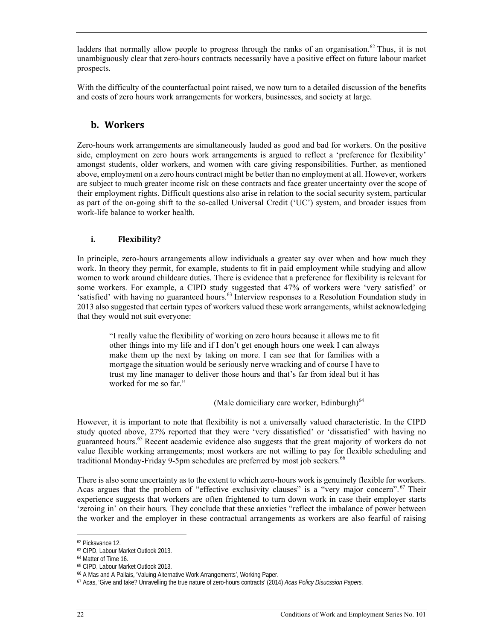ladders that normally allow people to progress through the ranks of an organisation.<sup>62</sup> Thus, it is not unambiguously clear that zero-hours contracts necessarily have a positive effect on future labour market prospects.

With the difficulty of the counterfactual point raised, we now turn to a detailed discussion of the benefits and costs of zero hours work arrangements for workers, businesses, and society at large.

### **b. Workers**

Zero-hours work arrangements are simultaneously lauded as good and bad for workers. On the positive side, employment on zero hours work arrangements is argued to reflect a 'preference for flexibility' amongst students, older workers, and women with care giving responsibilities. Further, as mentioned above, employment on a zero hours contract might be better than no employment at all. However, workers are subject to much greater income risk on these contracts and face greater uncertainty over the scope of their employment rights. Difficult questions also arise in relation to the social security system, particular as part of the on-going shift to the so-called Universal Credit ('UC') system, and broader issues from work-life balance to worker health.

#### **i. Flexibility?**

In principle, zero-hours arrangements allow individuals a greater say over when and how much they work. In theory they permit, for example, students to fit in paid employment while studying and allow women to work around childcare duties. There is evidence that a preference for flexibility is relevant for some workers. For example, a CIPD study suggested that 47% of workers were 'very satisfied' or 'satisfied' with having no guaranteed hours.<sup>63</sup> Interview responses to a Resolution Foundation study in 2013 also suggested that certain types of workers valued these work arrangements, whilst acknowledging that they would not suit everyone:

"I really value the flexibility of working on zero hours because it allows me to fit other things into my life and if I don't get enough hours one week I can always make them up the next by taking on more. I can see that for families with a mortgage the situation would be seriously nerve wracking and of course I have to trust my line manager to deliver those hours and that's far from ideal but it has worked for me so far."

(Male domiciliary care worker, Edinburgh) $^{64}$ 

However, it is important to note that flexibility is not a universally valued characteristic. In the CIPD study quoted above, 27% reported that they were 'very dissatisfied' or 'dissatisfied' with having no guaranteed hours.<sup>65</sup> Recent academic evidence also suggests that the great majority of workers do not value flexible working arrangements; most workers are not willing to pay for flexible scheduling and traditional Monday-Friday 9-5pm schedules are preferred by most job seekers.<sup>66</sup>

There is also some uncertainty as to the extent to which zero-hours work is genuinely flexible for workers. Acas argues that the problem of "effective exclusivity clauses" is a "very major concern".<sup>67</sup> Their experience suggests that workers are often frightened to turn down work in case their employer starts 'zeroing in' on their hours. They conclude that these anxieties "reflect the imbalance of power between the worker and the employer in these contractual arrangements as workers are also fearful of raising

 $\overline{a}$ 62 Pickavance 12.

<sup>63</sup> CIPD, Labour Market Outlook 2013.

<sup>64</sup> Matter of Time 16.

<sup>&</sup>lt;sup>65</sup> CIPD, Labour Market Outlook 2013.<br><sup>66</sup> A Mas and A Pallais, 'Valuing Alternative Work Arrangements', Working Paper.

<sup>&</sup>lt;sup>67</sup> Acas, 'Give and take? Unravelling the true nature of zero-hours contracts' (2014) *Acas Policy Disucssion Papers.*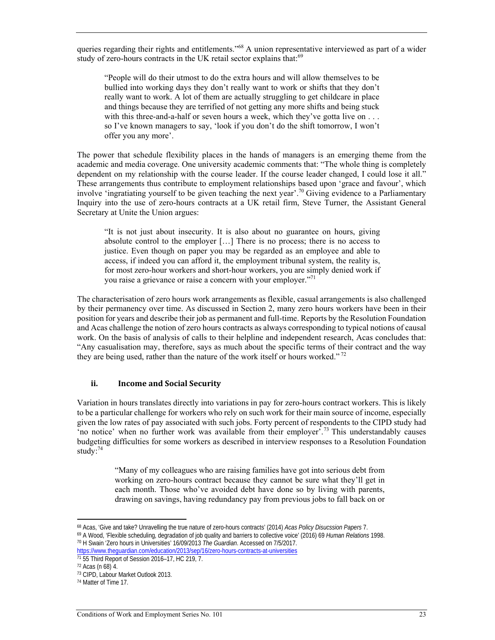queries regarding their rights and entitlements."68 A union representative interviewed as part of a wider study of zero-hours contracts in the UK retail sector explains that:<sup>69</sup>

"People will do their utmost to do the extra hours and will allow themselves to be bullied into working days they don't really want to work or shifts that they don't really want to work. A lot of them are actually struggling to get childcare in place and things because they are terrified of not getting any more shifts and being stuck with this three-and-a-half or seven hours a week, which they've gotta live on . . . so I've known managers to say, 'look if you don't do the shift tomorrow, I won't offer you any more'.

The power that schedule flexibility places in the hands of managers is an emerging theme from the academic and media coverage. One university academic comments that: "The whole thing is completely dependent on my relationship with the course leader. If the course leader changed, I could lose it all." These arrangements thus contribute to employment relationships based upon 'grace and favour', which involve 'ingratiating yourself to be given teaching the next year'.<sup>70</sup> Giving evidence to a Parliamentary Inquiry into the use of zero-hours contracts at a UK retail firm, Steve Turner, the Assistant General Secretary at Unite the Union argues:

"It is not just about insecurity. It is also about no guarantee on hours, giving absolute control to the employer […] There is no process; there is no access to justice. Even though on paper you may be regarded as an employee and able to access, if indeed you can afford it, the employment tribunal system, the reality is, for most zero-hour workers and short-hour workers, you are simply denied work if you raise a grievance or raise a concern with your employer."<sup>71</sup>

The characterisation of zero hours work arrangements as flexible, casual arrangements is also challenged by their permanency over time. As discussed in Section 2, many zero hours workers have been in their position for years and describe their job as permanent and full-time. Reports by the Resolution Foundation and Acas challenge the notion of zero hours contracts as always corresponding to typical notions of causal work. On the basis of analysis of calls to their helpline and independent research, Acas concludes that: "Any casualisation may, therefore, says as much about the specific terms of their contract and the way they are being used, rather than the nature of the work itself or hours worked."<sup>72</sup>

#### **ii. Income** and **Social Security**

Variation in hours translates directly into variations in pay for zero-hours contract workers. This is likely to be a particular challenge for workers who rely on such work for their main source of income, especially given the low rates of pay associated with such jobs. Forty percent of respondents to the CIPD study had 'no notice' when no further work was available from their employer'.73 This understandably causes budgeting difficulties for some workers as described in interview responses to a Resolution Foundation study:<sup>74</sup>

> "Many of my colleagues who are raising families have got into serious debt from working on zero-hours contract because they cannot be sure what they'll get in each month. Those who've avoided debt have done so by living with parents, drawing on savings, having redundancy pay from previous jobs to fall back on or

 $\overline{\phantom{a}}$ 

<sup>&</sup>lt;sup>68</sup> Acas, 'Give and take? Unravelling the true nature of zero-hours contracts' (2014) *Acas Policy Disucssion Papers 1*.<br><sup>69</sup> A Wood, 'Flexible scheduling, degradation of job quality and barriers to collective voice' (201

https://www.theguardian.com/education/2013/sep/16/zero-hours-contracts-at-universities 71 55 Third Report of Session 2016–17, HC 219, 7.

<sup>72</sup> Acas (n 68) 4.

<sup>73</sup> CIPD, Labour Market Outlook 2013.

<sup>74</sup> Matter of Time 17.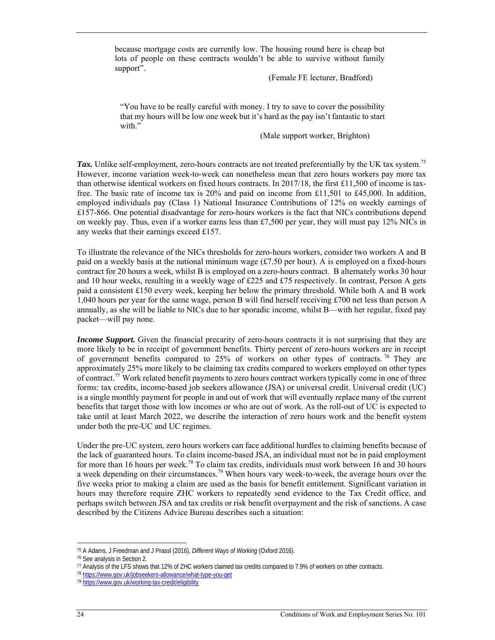because mortgage costs are currently low. The housing round here is cheap but lots of people on these contracts wouldn't be able to survive without family support".

(Female FE lecturer, Bradford)

"You have to be really careful with money. I try to save to cover the possibility that my hours will be low one week but it's hard as the pay isn't fantastic to start with."

(Male support worker, Brighton)

*Tax.* Unlike self-employment, zero-hours contracts are not treated preferentially by the UK tax system.<sup>75</sup> However, income variation week-to-week can nonetheless mean that zero hours workers pay more tax than otherwise identical workers on fixed hours contracts. In 2017/18, the first £11,500 of income is taxfree. The basic rate of income tax is 20% and paid on income from £11,501 to £45,000. In addition, employed individuals pay (Class 1) National Insurance Contributions of 12% on weekly earnings of £157-866. One potential disadvantage for zero-hours workers is the fact that NICs contributions depend on weekly pay. Thus, even if a worker earns less than £7,500 per year, they will must pay 12% NICs in any weeks that their earnings exceed £157.

To illustrate the relevance of the NICs thresholds for zero-hours workers, consider two workers A and B paid on a weekly basis at the national minimum wage  $(f7.50 \text{ per hour})$ . A is employed on a fixed-hours contract for 20 hours a week, whilst B is employed on a zero-hours contract. B alternately works 30 hour and 10 hour weeks, resulting in a weekly wage of £225 and £75 respectively. In contrast, Person A gets paid a consistent £150 every week, keeping her below the primary threshold. While both A and B work 1,040 hours per year for the same wage, person B will find herself receiving £700 net less than person A annually, as she will be liable to NICs due to her sporadic income, whilst B—with her regular, fixed pay packet—will pay none.

*Income Support.* Given the financial precarity of zero-hours contracts it is not surprising that they are more likely to be in receipt of government benefits. Thirty percent of zero-hours workers are in receipt of government benefits compared to 25% of workers on other types of contracts. 76 They are approximately 25% more likely to be claiming tax credits compared to workers employed on other types of contract.77 Work related benefit payments to zero hours contract workers typically come in one of three forms: tax credits, income-based job seekers allowance (JSA) or universal credit. Universal credit (UC) is a single monthly payment for people in and out of work that will eventually replace many of the current benefits that target those with low incomes or who are out of work. As the roll-out of UC is expected to take until at least March 2022, we describe the interaction of zero hours work and the benefit system under both the pre-UC and UC regimes.

Under the pre-UC system, zero hours workers can face additional hurdles to claiming benefits because of the lack of guaranteed hours. To claim income-based JSA, an individual must not be in paid employment for more than 16 hours per week.<sup>78</sup> To claim tax credits, individuals must work between 16 and 30 hours a week depending on their circumstances.<sup>79</sup> When hours vary week-to-week, the average hours over the five weeks prior to making a claim are used as the basis for benefit entitlement. Significant variation in hours may therefore require ZHC workers to repeatedly send evidence to the Tax Credit office, and perhaps switch between JSA and tax credits or risk benefit overpayment and the risk of sanctions. A case described by the Citizens Advice Bureau describes such a situation:

<sup>&</sup>lt;sup>75</sup> A Adams, J Freedman and J Prassl (2016), *Different Ways of Working* (Oxford 2016).<br><sup>76</sup> See analysis in Section 2.

<sup>77</sup> Analysis of the LFS shows that 12% of ZHC workers claimed tax credits compared to 7.9% of workers on other contracts.<br><sup>78</sup> https://www.gov.uk/jobseekers-allowance/what-type-you-get<br><sup>79</sup> https://www.gov.uk/working-tax-c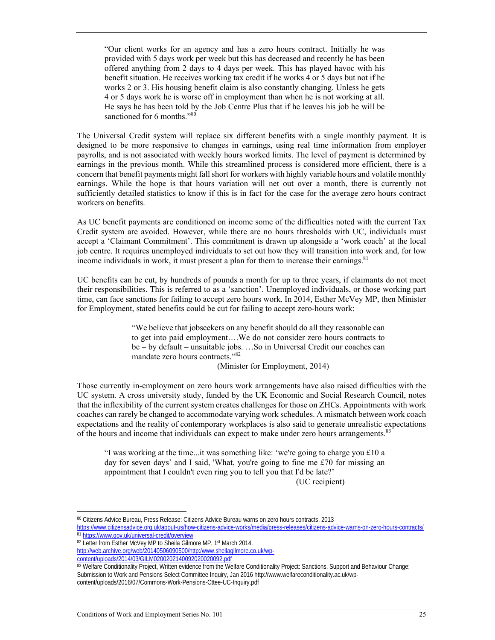"Our client works for an agency and has a zero hours contract. Initially he was provided with 5 days work per week but this has decreased and recently he has been offered anything from 2 days to 4 days per week. This has played havoc with his benefit situation. He receives working tax credit if he works 4 or 5 days but not if he works 2 or 3. His housing benefit claim is also constantly changing. Unless he gets 4 or 5 days work he is worse off in employment than when he is not working at all. He says he has been told by the Job Centre Plus that if he leaves his job he will be sanctioned for 6 months."<sup>80</sup>

The Universal Credit system will replace six different benefits with a single monthly payment. It is designed to be more responsive to changes in earnings, using real time information from employer payrolls, and is not associated with weekly hours worked limits. The level of payment is determined by earnings in the previous month. While this streamlined process is considered more efficient, there is a concern that benefit payments might fall short for workers with highly variable hours and volatile monthly earnings. While the hope is that hours variation will net out over a month, there is currently not sufficiently detailed statistics to know if this is in fact for the case for the average zero hours contract workers on benefits.

As UC benefit payments are conditioned on income some of the difficulties noted with the current Tax Credit system are avoided. However, while there are no hours thresholds with UC, individuals must accept a 'Claimant Commitment'. This commitment is drawn up alongside a 'work coach' at the local job centre. It requires unemployed individuals to set out how they will transition into work and, for low income individuals in work, it must present a plan for them to increase their earnings.<sup>81</sup>

UC benefits can be cut, by hundreds of pounds a month for up to three years, if claimants do not meet their responsibilities. This is referred to as a 'sanction'. Unemployed individuals, or those working part time, can face sanctions for failing to accept zero hours work. In 2014, Esther McVey MP, then Minister for Employment, stated benefits could be cut for failing to accept zero-hours work:

> "We believe that jobseekers on any benefit should do all they reasonable can to get into paid employment….We do not consider zero hours contracts to be – by default – unsuitable jobs. …So in Universal Credit our coaches can mandate zero hours contracts."82

(Minister for Employment, 2014)

Those currently in-employment on zero hours work arrangements have also raised difficulties with the UC system. A cross university study, funded by the UK Economic and Social Research Council, notes that the inflexibility of the current system creates challenges for those on ZHCs. Appointments with work coaches can rarely be changed to accommodate varying work schedules. A mismatch between work coach expectations and the reality of contemporary workplaces is also said to generate unrealistic expectations of the hours and income that individuals can expect to make under zero hours arrangements.<sup>83</sup>

"I was working at the time...it was something like: 'we're going to charge you £10 a day for seven days' and I said, 'What, you're going to fine me £70 for missing an appointment that I couldn't even ring you to tell you that I'd be late?'

(UC recipient)

80 Citizens Advice Bureau, Press Release: Citizens Advice Bureau warns on zero hours contracts, 2013 https://www.citizensadvice.org.uk/about-us/how-citizens-advice-works/media/press-releases/citizens-advice-warns-on-zero-hours-contracts/<br><sup>81</sup> https://www.gov.uk/universal-credit/overview<br><sup>82</sup> Letter from Esther McVey MP to

http://web.archive.org/web/20140506090500/http:/www.sheilagilmore.co.uk/wp-<br>content/uploads/2014/03/GILM0200202140092020020092.pdf

<sup>83</sup> Welfare Conditionality Project, Written evidence from the Welfare Conditionality Project: Sanctions, Support and Behaviour Change; Submission to Work and Pensions Select Committee Inquiry, Jan 2016 http://www.welfareconditionality.ac.uk/wpcontent/uploads/2016/07/Commons-Work-Pensions-Cttee-UC-Inquiry.pdf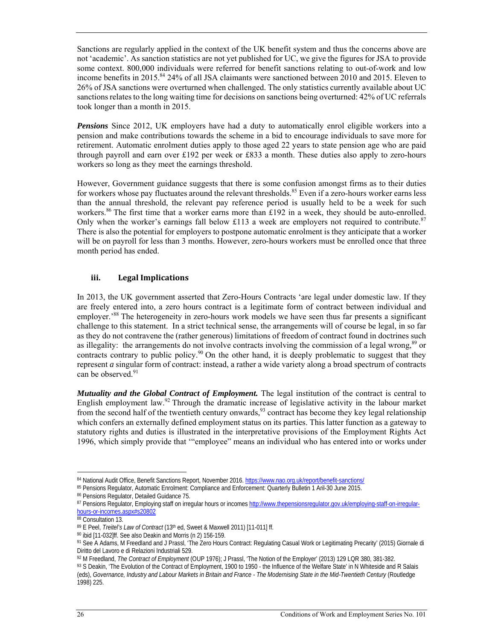Sanctions are regularly applied in the context of the UK benefit system and thus the concerns above are not 'academic'. As sanction statistics are not yet published for UC, we give the figures for JSA to provide some context. 800,000 individuals were referred for benefit sanctions relating to out-of-work and low income benefits in 2015.<sup>84</sup> 24% of all JSA claimants were sanctioned between 2010 and 2015. Eleven to 26% of JSA sanctions were overturned when challenged. The only statistics currently available about UC sanctions relates to the long waiting time for decisions on sanctions being overturned: 42% of UC referrals took longer than a month in 2015.

*Pensions* Since 2012, UK employers have had a duty to automatically enrol eligible workers into a pension and make contributions towards the scheme in a bid to encourage individuals to save more for retirement. Automatic enrolment duties apply to those aged 22 years to state pension age who are paid through payroll and earn over £192 per week or £833 a month. These duties also apply to zero-hours workers so long as they meet the earnings threshold.

However, Government guidance suggests that there is some confusion amongst firms as to their duties for workers whose pay fluctuates around the relevant thresholds.<sup>85</sup> Even if a zero-hours worker earns less than the annual threshold, the relevant pay reference period is usually held to be a week for such workers.<sup>86</sup> The first time that a worker earns more than £192 in a week, they should be auto-enrolled. Only when the worker's earnings fall below £113 a week are employers not required to contribute.<sup>87</sup> There is also the potential for employers to postpone automatic enrolment is they anticipate that a worker will be on payroll for less than 3 months. However, zero-hours workers must be enrolled once that three month period has ended.

#### **iii. Legal Implications**

In 2013, the UK government asserted that Zero-Hours Contracts 'are legal under domestic law. If they are freely entered into, a zero hours contract is a legitimate form of contract between individual and employer.'88 The heterogeneity in zero-hours work models we have seen thus far presents a significant challenge to this statement. In a strict technical sense, the arrangements will of course be legal, in so far as they do not contravene the (rather generous) limitations of freedom of contract found in doctrines such as illegality: the arrangements do not involve contracts involving the commission of a legal wrong,<sup>89</sup> or contracts contrary to public policy.<sup>90</sup> On the other hand, it is deeply problematic to suggest that they represent *a* singular form of contract: instead, a rather a wide variety along a broad spectrum of contracts can be observed.<sup>91</sup>

*Mutuality and the Global Contract of Employment.* The legal institution of the contract is central to English employment law.<sup>92</sup> Through the dramatic increase of legislative activity in the labour market from the second half of the twentieth century onwards,<sup>93</sup> contract has become they key legal relationship which confers an externally defined employment status on its parties. This latter function as a gateway to statutory rights and duties is illustrated in the interpretative provisions of the Employment Rights Act 1996, which simply provide that '"employee" means an individual who has entered into or works under

 $\overline{\phantom{a}}$ 84 National Audit Office, Benefit Sanctions Report, November 2016. https://www.nao.org.uk/report/benefit-sanctions/<br>85 Pensions Regulator, Automatic Enrolment: Compliance and Enforcement: Quarterly Bulletin 1 Aril-30 June

<sup>86</sup> Pensions Regulator, Detailed Guidance 75.

<sup>87</sup> Pensions Regulator, Employing staff on irregular hours or incomes http://www.thepensionsregulator.gov.uk/employing-staff-on-irregularhours-or-incomes.aspx#s20802

<sup>88</sup> Consultation 13.

<sup>&</sup>lt;sup>89</sup> E Peel, *Treitel's Law of Contract* (13<sup>th</sup> ed, Sweet & Maxwell 2011) [11-011] ff.<br><sup>90</sup> ibid [11-032]ff. See also Deakin and Morris (n 2) 156-159.

<sup>91</sup> See A Adams, M Freedland and J Prassl, 'The Zero Hours Contract: Regulating Casual Work or Legitimating Precarity' (2015) Giornale di Diritto del Lavoro e di Relazioni Industriali 529.<br><sup>92</sup> M Freedland, *The Contract of Employment* (OUP 1976); J Prassl, 'The Notion of the Employer' (2013) 129 LQR 380, 381-382.

<sup>93</sup> S Deakin, 'The Evolution of the Contract of Employment, 1900 to 1950 - the Influence of the Welfare State' in N Whiteside and R Salais (eds), *Governance, Industry and Labour Markets in Britain and France - The Modernising State in the Mid-Twentieth Century* (Routledge 1998) 225.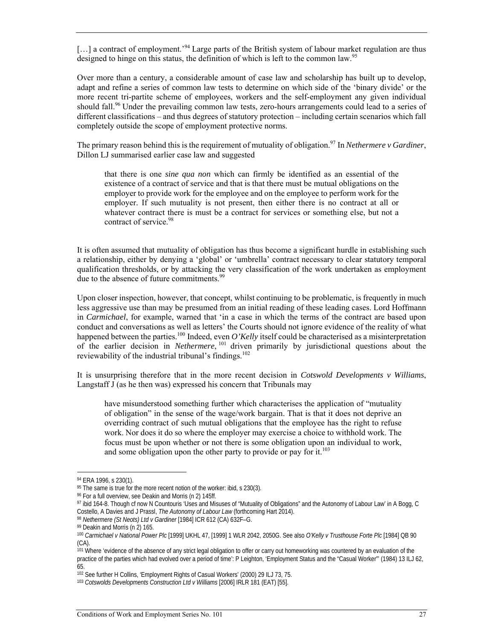[...] a contract of employment.<sup>'94</sup> Large parts of the British system of labour market regulation are thus designed to hinge on this status, the definition of which is left to the common law.<sup>95</sup>

Over more than a century, a considerable amount of case law and scholarship has built up to develop, adapt and refine a series of common law tests to determine on which side of the 'binary divide' or the more recent tri-partite scheme of employees, workers and the self-employment any given individual should fall.<sup>96</sup> Under the prevailing common law tests, zero-hours arrangements could lead to a series of different classifications – and thus degrees of statutory protection – including certain scenarios which fall completely outside the scope of employment protective norms.

The primary reason behind this is the requirement of mutuality of obligation.<sup>97</sup> In *Nethermere v Gardiner*, Dillon LJ summarised earlier case law and suggested

that there is one *sine qua non* which can firmly be identified as an essential of the existence of a contract of service and that is that there must be mutual obligations on the employer to provide work for the employee and on the employee to perform work for the employer. If such mutuality is not present, then either there is no contract at all or whatever contract there is must be a contract for services or something else, but not a contract of service.<sup>98</sup>

It is often assumed that mutuality of obligation has thus become a significant hurdle in establishing such a relationship, either by denying a 'global' or 'umbrella' contract necessary to clear statutory temporal qualification thresholds, or by attacking the very classification of the work undertaken as employment due to the absence of future commitments.<sup>99</sup>

Upon closer inspection, however, that concept, whilst continuing to be problematic, is frequently in much less aggressive use than may be presumed from an initial reading of these leading cases. Lord Hoffmann in *Carmichael*, for example, warned that 'in a case in which the terms of the contract are based upon conduct and conversations as well as letters' the Courts should not ignore evidence of the reality of what happened between the parties.<sup>100</sup> Indeed, even *O'Kelly* itself could be characterised as a misinterpretation of the earlier decision in *Nethermere*, 101 driven primarily by jurisdictional questions about the reviewability of the industrial tribunal's findings.<sup>102</sup>

It is unsurprising therefore that in the more recent decision in *Cotswold Developments v Williams*, Langstaff J (as he then was) expressed his concern that Tribunals may

have misunderstood something further which characterises the application of "mutuality of obligation" in the sense of the wage/work bargain. That is that it does not deprive an overriding contract of such mutual obligations that the employee has the right to refuse work. Nor does it do so where the employer may exercise a choice to withhold work. The focus must be upon whether or not there is some obligation upon an individual to work, and some obligation upon the other party to provide or pay for it. $103$ 

<sup>94</sup> ERA 1996, s 230(1).

 $95$  The same is true for the more recent notion of the worker: ibid, s 230(3).

<sup>96</sup> For a full overview, see Deakin and Morris (n 2) 145ff.

<sup>97</sup> ibid 164-8. Though cf now N Countouris 'Uses and Misuses of "Mutuality of Obligations" and the Autonomy of Labour Law' in A Bogg, C Costello, A Davies and J Prassl, *The Autonomy of Labour Law* (forthcoming Hart 2014).<br><sup>98</sup> *Nethermere (St Neots) Ltd v Gardiner* [1984] ICR 612 (CA) 632F–G.<br><sup>99</sup> Deakin and Morris (n 2) 165.

<sup>100</sup> *Carmichael v National Power Plc* [1999] UKHL 47, [1999] 1 WLR 2042, 2050G. See also *O'Kelly v Trusthouse Forte Plc* [1984] QB 90 (CA).

<sup>&</sup>lt;sup>101</sup> Where 'evidence of the absence of any strict legal obligation to offer or carry out homeworking was countered by an evaluation of the practice of the parties which had evolved over a period of time': P Leighton, 'Employment Status and the "Casual Worker"' (1984) 13 ILJ 62, 65.

<sup>&</sup>lt;sup>102</sup> See further H Collins, 'Employment Rights of Casual Workers' (2000) 29 ILJ 73, 75.<br><sup>103</sup> *Cotswolds Developments Construction Ltd v Williams* [2006] IRLR 181 (EAT) [55].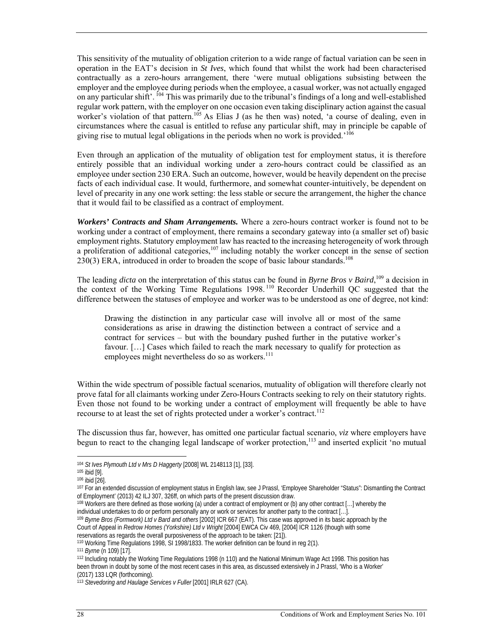This sensitivity of the mutuality of obligation criterion to a wide range of factual variation can be seen in operation in the EAT's decision in *St Ives*, which found that whilst the work had been characterised contractually as a zero-hours arrangement, there 'were mutual obligations subsisting between the employer and the employee during periods when the employee, a casual worker, was not actually engaged on any particular shift'. 104 This was primarily due to the tribunal's findings of a long and well-established regular work pattern, with the employer on one occasion even taking disciplinary action against the casual worker's violation of that pattern.<sup>105</sup> As Elias J (as he then was) noted, 'a course of dealing, even in circumstances where the casual is entitled to refuse any particular shift, may in principle be capable of giving rise to mutual legal obligations in the periods when no work is provided.'<sup>106</sup>

Even through an application of the mutuality of obligation test for employment status, it is therefore entirely possible that an individual working under a zero-hours contract could be classified as an employee under section 230 ERA. Such an outcome, however, would be heavily dependent on the precise facts of each individual case. It would, furthermore, and somewhat counter-intuitively, be dependent on level of precarity in any one work setting: the less stable or secure the arrangement, the higher the chance that it would fail to be classified as a contract of employment.

*Workers' Contracts and Sham Arrangements.* Where a zero-hours contract worker is found not to be working under a contract of employment, there remains a secondary gateway into (a smaller set of) basic employment rights. Statutory employment law has reacted to the increasing heterogeneity of work through a proliferation of additional categories,<sup>107</sup> including notably the worker concept in the sense of section  $230(3)$  ERA, introduced in order to broaden the scope of basic labour standards.<sup>108</sup>

The leading *dicta* on the interpretation of this status can be found in *Byrne Bros v Baird*,<sup>109</sup> a decision in the context of the Working Time Regulations 1998. 110 Recorder Underhill QC suggested that the difference between the statuses of employee and worker was to be understood as one of degree, not kind:

Drawing the distinction in any particular case will involve all or most of the same considerations as arise in drawing the distinction between a contract of service and a contract for services – but with the boundary pushed further in the putative worker's favour. […] Cases which failed to reach the mark necessary to qualify for protection as employees might nevertheless do so as workers.<sup>111</sup>

Within the wide spectrum of possible factual scenarios, mutuality of obligation will therefore clearly not prove fatal for all claimants working under Zero-Hours Contracts seeking to rely on their statutory rights. Even those not found to be working under a contract of employment will frequently be able to have recourse to at least the set of rights protected under a worker's contract.<sup>112</sup>

The discussion thus far, however, has omitted one particular factual scenario, *viz* where employers have begun to react to the changing legal landscape of worker protection.<sup>113</sup> and inserted explicit 'no mutual

Court of Appeal in *Redrow Homes (Yorkshire) Ltd v Wright* [2004] EWCA Civ 469, [2004] ICR 1126 (though with some

 $\overline{a}$ 

<sup>&</sup>lt;sup>104</sup> *St Ives Plymouth Ltd v Mrs D Haggerty* [2008] WL 2148113 [1], [33].<br><sup>105</sup> ibid [9].<br><sup>106</sup> ibid [26]. of Employment' (2013) 42 ILJ 307, 326ff, on which parts of the present discussion draw.

<sup>108</sup> Workers are there defined as those working (a) under a contract of employment or (b) any other contract […] whereby the individual undertakes to do or perform personally any or work or services for another party to the contract [...].<br><sup>109</sup> Byrne Bros (Formwork) Ltd v Bard and others [2002] ICR 667 (EAT). This case was approved in its basic

reservations as regards the overall purposiveness of the approach to be taken: [21]).<br><sup>110</sup> Working Time Regulations 1998, SI 1998/1833. The worker definition can be found in reg 2(1).<br><sup>111</sup> Byme (n 109) [17].<br><sup>112</sup> Includ been thrown in doubt by some of the most recent cases in this area, as discussed extensively in J Prassl, 'Who is a Worker' (2017) 133 LQR (forthcoming).

<sup>113</sup> Stevedoring and Haulage Services v Fuller [2001] IRLR 627 (CA).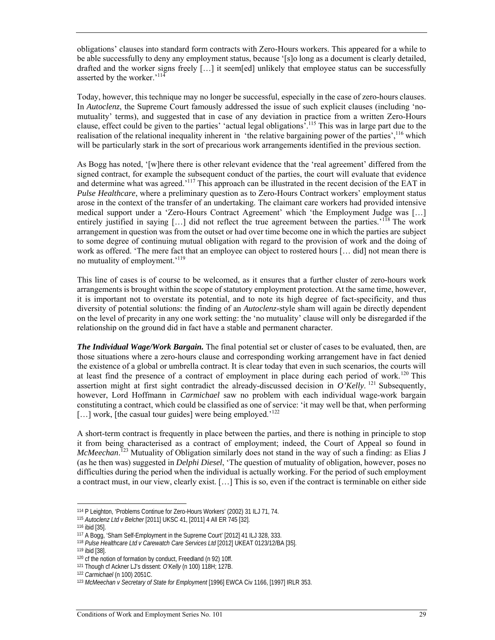obligations' clauses into standard form contracts with Zero-Hours workers. This appeared for a while to be able successfully to deny any employment status, because '[s]o long as a document is clearly detailed, drafted and the worker signs freely […] it seem[ed] unlikely that employee status can be successfully asserted by the worker.'114

Today, however, this technique may no longer be successful, especially in the case of zero-hours clauses. In *Autoclenz*, the Supreme Court famously addressed the issue of such explicit clauses (including 'nomutuality' terms), and suggested that in case of any deviation in practice from a written Zero-Hours clause, effect could be given to the parties' 'actual legal obligations'.115 This was in large part due to the realisation of the relational inequality inherent in 'the relative bargaining power of the parties',<sup>116</sup> which will be particularly stark in the sort of precarious work arrangements identified in the previous section.

As Bogg has noted, '[w]here there is other relevant evidence that the 'real agreement' differed from the signed contract, for example the subsequent conduct of the parties, the court will evaluate that evidence and determine what was agreed.'<sup>117</sup> This approach can be illustrated in the recent decision of the EAT in *Pulse Healthcare*, where a preliminary question as to Zero-Hours Contract workers' employment status arose in the context of the transfer of an undertaking. The claimant care workers had provided intensive medical support under a 'Zero-Hours Contract Agreement' which 'the Employment Judge was […] entirely justified in saying [...] did not reflect the true agreement between the parties.<sup>'118</sup> The work arrangement in question was from the outset or had over time become one in which the parties are subject to some degree of continuing mutual obligation with regard to the provision of work and the doing of work as offered. 'The mere fact that an employee can object to rostered hours [… did] not mean there is no mutuality of employment.'119

This line of cases is of course to be welcomed, as it ensures that a further cluster of zero-hours work arrangements is brought within the scope of statutory employment protection. At the same time, however, it is important not to overstate its potential, and to note its high degree of fact-specificity, and thus diversity of potential solutions: the finding of an *Autoclenz-*style sham will again be directly dependent on the level of precarity in any one work setting: the 'no mutuality' clause will only be disregarded if the relationship on the ground did in fact have a stable and permanent character.

*The Individual Wage/Work Bargain.* The final potential set or cluster of cases to be evaluated, then, are those situations where a zero-hours clause and corresponding working arrangement have in fact denied the existence of a global or umbrella contract. It is clear today that even in such scenarios, the courts will at least find the presence of a contract of employment in place during each period of work.<sup>120</sup> This assertion might at first sight contradict the already-discussed decision in  $O'Kelly$ .<sup>121</sup> Subsequently, however, Lord Hoffmann in *Carmichael* saw no problem with each individual wage-work bargain constituting a contract, which could be classified as one of service: 'it may well be that, when performing  $[\dots]$  work, [the casual tour guides] were being employed.<sup>'122</sup>

A short-term contract is frequently in place between the parties, and there is nothing in principle to stop it from being characterised as a contract of employment; indeed, the Court of Appeal so found in *McMeechan*.<sup>123</sup> Mutuality of Obligation similarly does not stand in the way of such a finding: as Elias J (as he then was) suggested in *Delphi Diesel*, 'The question of mutuality of obligation, however, poses no difficulties during the period when the individual is actually working. For the period of such employment a contract must, in our view, clearly exist. […] This is so, even if the contract is terminable on either side

<sup>&</sup>lt;sup>114</sup> P Leighton, 'Problems Continue for Zero-Hours Workers' (2002) 31 ILJ 71, 74.<br><sup>115</sup> *Autoclenz Ltd v Belcher* [2011] UKSC 41, [2011] 4 All ER 745 [32].<br><sup>116</sup> ibid [35].<br><sup>117</sup> A Bogg, 'Sham Self-Employment in the Supre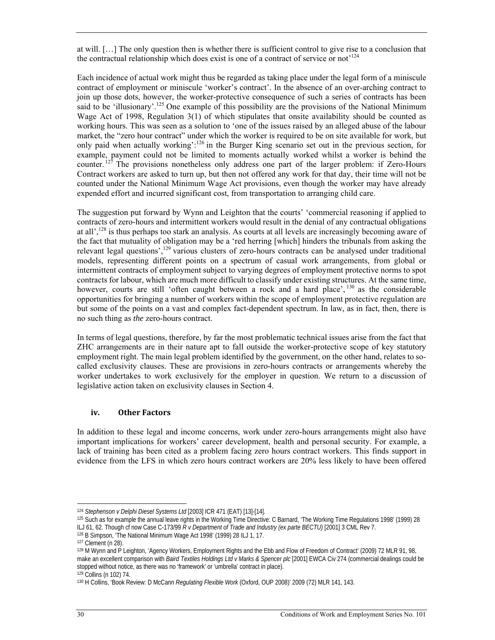at will. […] The only question then is whether there is sufficient control to give rise to a conclusion that the contractual relationship which does exist is one of a contract of service or not<sup> $124$ </sup>

Each incidence of actual work might thus be regarded as taking place under the legal form of a miniscule contract of employment or miniscule 'worker's contract'. In the absence of an over-arching contract to join up those dots, however, the worker-protective consequence of such a series of contracts has been said to be 'illusionary'.<sup>125</sup> One example of this possibility are the provisions of the National Minimum Wage Act of 1998, Regulation 3(1) of which stipulates that onsite availability should be counted as working hours. This was seen as a solution to 'one of the issues raised by an alleged abuse of the labour market, the "zero hour contract" under which the worker is required to be on site available for work, but only paid when actually working':126 in the Burger King scenario set out in the previous section, for example, payment could not be limited to moments actually worked whilst a worker is behind the counter.<sup>127</sup> The provisions nonetheless only address one part of the larger problem: if Zero-Hours Contract workers are asked to turn up, but then not offered any work for that day, their time will not be counted under the National Minimum Wage Act provisions, even though the worker may have already expended effort and incurred significant cost, from transportation to arranging child care.

The suggestion put forward by Wynn and Leighton that the courts' 'commercial reasoning if applied to contracts of zero-hours and intermittent workers would result in the denial of any contractual obligations at all',128 is thus perhaps too stark an analysis. As courts at all levels are increasingly becoming aware of the fact that mutuality of obligation may be a 'red herring [which] hinders the tribunals from asking the relevant legal questions',129 various clusters of zero-hours contracts can be analysed under traditional models, representing different points on a spectrum of casual work arrangements, from global or intermittent contracts of employment subject to varying degrees of employment protective norms to spot contracts for labour, which are much more difficult to classify under existing structures. At the same time, however, courts are still 'often caught between a rock and a hard place', <sup>130</sup> as the considerable opportunities for bringing a number of workers within the scope of employment protective regulation are but some of the points on a vast and complex fact-dependent spectrum. In law, as in fact, then, there is no such thing as *the* zero-hours contract.

In terms of legal questions, therefore, by far the most problematic technical issues arise from the fact that ZHC arrangements are in their nature apt to fall outside the worker-protective scope of key statutory employment right. The main legal problem identified by the government, on the other hand, relates to socalled exclusivity clauses. These are provisions in zero-hours contracts or arrangements whereby the worker undertakes to work exclusively for the employer in question. We return to a discussion of legislative action taken on exclusivity clauses in Section 4.

#### **iv. Other Factors**

In addition to these legal and income concerns, work under zero-hours arrangements might also have important implications for workers' career development, health and personal security. For example, a lack of training has been cited as a problem facing zero hours contract workers. This finds support in evidence from the LFS in which zero hours contract workers are 20% less likely to have been offered

<sup>&</sup>lt;sup>124</sup> *Stephenson v Delphi Diesel Systems Ltd* [2003] ICR 471 (EAT) [13]-[14].<br><sup>125</sup> Such as for example the annual leave rights in the Working Time Directive: C Barnard, 'The Working Time Regulations 1998' (1999) 28

ILJ 61, 62. Though cf now Case C-173/99 *R v Department of Trade and Industry (ex parte BECTU)* [2001] 3 CML Rev 7.<br><sup>126</sup> B Simpson, 'The National Minimum Wage Act 1998' (1999) 28 ILJ 1, 17.<br><sup>127</sup> Clement (n 28).<br><sup>128</sup> M W make an excellent comparison with *Baird Textiles Holdings Ltd v Marks & Spencer plc* [2001] EWCA Civ 274 (commercial dealings could be stopped without notice, as there was no 'framework' or 'umbrella' contract in place).

<sup>&</sup>lt;sup>129</sup> Collins (n 102) 74.<br><sup>130</sup> H Collins, 'Book Review: D McCann *Regulating Flexible Work* (Oxford, OUP 2008)' 2009 (72) MLR 141, 143.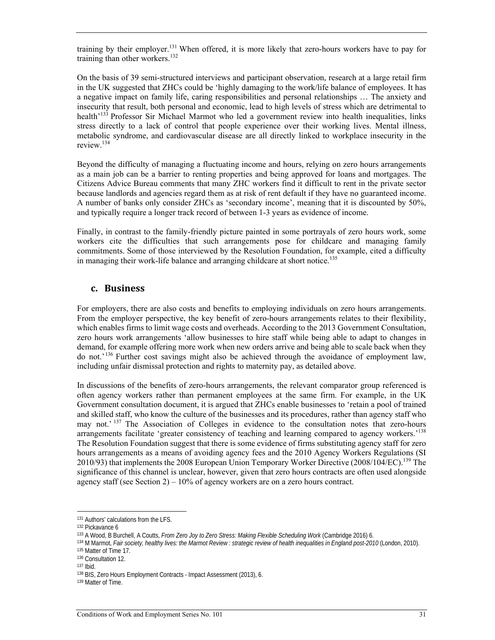training by their employer.131 When offered, it is more likely that zero-hours workers have to pay for training than other workers.<sup>132</sup>

On the basis of 39 semi-structured interviews and participant observation, research at a large retail firm in the UK suggested that ZHCs could be 'highly damaging to the work/life balance of employees. It has a negative impact on family life, caring responsibilities and personal relationships … The anxiety and insecurity that result, both personal and economic, lead to high levels of stress which are detrimental to health<sup>'133</sup> Professor Sir Michael Marmot who led a government review into health inequalities, links stress directly to a lack of control that people experience over their working lives. Mental illness, metabolic syndrome, and cardiovascular disease are all directly linked to workplace insecurity in the review.134

Beyond the difficulty of managing a fluctuating income and hours, relying on zero hours arrangements as a main job can be a barrier to renting properties and being approved for loans and mortgages. The Citizens Advice Bureau comments that many ZHC workers find it difficult to rent in the private sector because landlords and agencies regard them as at risk of rent default if they have no guaranteed income. A number of banks only consider ZHCs as 'secondary income', meaning that it is discounted by 50%, and typically require a longer track record of between 1-3 years as evidence of income.

Finally, in contrast to the family-friendly picture painted in some portrayals of zero hours work, some workers cite the difficulties that such arrangements pose for childcare and managing family commitments. Some of those interviewed by the Resolution Foundation, for example, cited a difficulty in managing their work-life balance and arranging childcare at short notice.<sup>135</sup>

#### **c. Business**

For employers, there are also costs and benefits to employing individuals on zero hours arrangements. From the employer perspective, the key benefit of zero-hours arrangements relates to their flexibility, which enables firms to limit wage costs and overheads. According to the 2013 Government Consultation, zero hours work arrangements 'allow businesses to hire staff while being able to adapt to changes in demand, for example offering more work when new orders arrive and being able to scale back when they do not.'136 Further cost savings might also be achieved through the avoidance of employment law, including unfair dismissal protection and rights to maternity pay, as detailed above.

In discussions of the benefits of zero-hours arrangements, the relevant comparator group referenced is often agency workers rather than permanent employees at the same firm. For example, in the UK Government consultation document, it is argued that ZHCs enable businesses to 'retain a pool of trained and skilled staff, who know the culture of the businesses and its procedures, rather than agency staff who may not.' <sup>137</sup> The Association of Colleges in evidence to the consultation notes that zero-hours arrangements facilitate 'greater consistency of teaching and learning compared to agency workers.'<sup>138</sup> The Resolution Foundation suggest that there is some evidence of firms substituting agency staff for zero hours arrangements as a means of avoiding agency fees and the 2010 Agency Workers Regulations (SI 2010/93) that implements the 2008 European Union Temporary Worker Directive (2008/104/EC).139 The significance of this channel is unclear, however, given that zero hours contracts are often used alongside agency staff (see Section 2) –  $10\%$  of agency workers are on a zero hours contract.

<sup>&</sup>lt;sup>131</sup> Authors' calculations from the LFS.<br><sup>132</sup> Pickavance 6<br><sup>133</sup> A Wood, B Burchell, A Coutts, *From Zero Joy to Zero Stress: Making Flexible Scheduling Work* (Cambridge 2016) 6.<br><sup>134</sup> M Marmot, *Fair society, healthy li*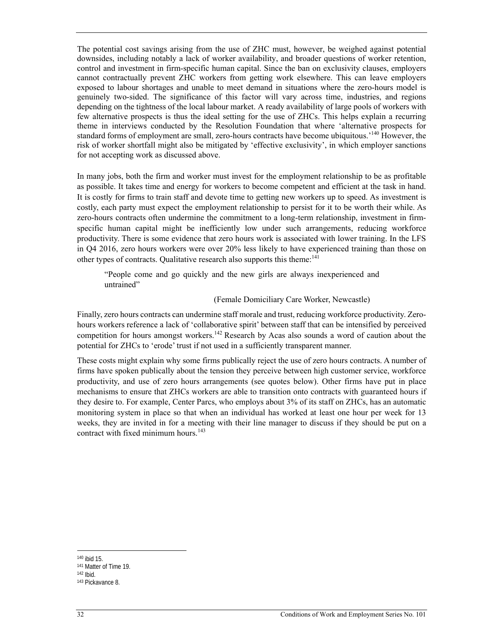The potential cost savings arising from the use of ZHC must, however, be weighed against potential downsides, including notably a lack of worker availability, and broader questions of worker retention, control and investment in firm-specific human capital. Since the ban on exclusivity clauses, employers cannot contractually prevent ZHC workers from getting work elsewhere. This can leave employers exposed to labour shortages and unable to meet demand in situations where the zero-hours model is genuinely two-sided. The significance of this factor will vary across time, industries, and regions depending on the tightness of the local labour market. A ready availability of large pools of workers with few alternative prospects is thus the ideal setting for the use of ZHCs. This helps explain a recurring theme in interviews conducted by the Resolution Foundation that where 'alternative prospects for standard forms of employment are small, zero-hours contracts have become ubiquitous.<sup>'140</sup> However, the risk of worker shortfall might also be mitigated by 'effective exclusivity', in which employer sanctions for not accepting work as discussed above.

In many jobs, both the firm and worker must invest for the employment relationship to be as profitable as possible. It takes time and energy for workers to become competent and efficient at the task in hand. It is costly for firms to train staff and devote time to getting new workers up to speed. As investment is costly, each party must expect the employment relationship to persist for it to be worth their while. As zero-hours contracts often undermine the commitment to a long-term relationship, investment in firmspecific human capital might be inefficiently low under such arrangements, reducing workforce productivity. There is some evidence that zero hours work is associated with lower training. In the LFS in Q4 2016, zero hours workers were over 20% less likely to have experienced training than those on other types of contracts. Qualitative research also supports this theme:<sup>141</sup>

"People come and go quickly and the new girls are always inexperienced and untrained"

(Female Domiciliary Care Worker, Newcastle)

Finally, zero hours contracts can undermine staff morale and trust, reducing workforce productivity. Zerohours workers reference a lack of 'collaborative spirit' between staff that can be intensified by perceived competition for hours amongst workers.<sup>142</sup> Research by Acas also sounds a word of caution about the potential for ZHCs to 'erode' trust if not used in a sufficiently transparent manner.

These costs might explain why some firms publically reject the use of zero hours contracts. A number of firms have spoken publically about the tension they perceive between high customer service, workforce productivity, and use of zero hours arrangements (see quotes below). Other firms have put in place mechanisms to ensure that ZHCs workers are able to transition onto contracts with guaranteed hours if they desire to. For example, Center Parcs, who employs about 3% of its staff on ZHCs, has an automatic monitoring system in place so that when an individual has worked at least one hour per week for 13 weeks, they are invited in for a meeting with their line manager to discuss if they should be put on a contract with fixed minimum hours.<sup>143</sup>

<sup>&</sup>lt;sup>140</sup> ibid 15.<br><sup>141</sup> Matter of Time 19.<br><sup>142</sup> Ibid. <sup>143</sup> Pickavance 8.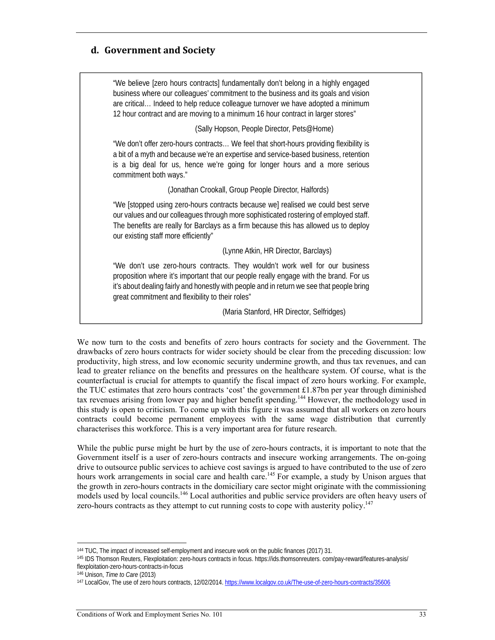### **d. Government and Society**

"We believe [zero hours contracts] fundamentally don't belong in a highly engaged business where our colleagues' commitment to the business and its goals and vision are critical… Indeed to help reduce colleague turnover we have adopted a minimum 12 hour contract and are moving to a minimum 16 hour contract in larger stores"

(Sally Hopson, People Director, Pets@Home)

"We don't offer zero-hours contracts… We feel that short-hours providing flexibility is a bit of a myth and because we're an expertise and service-based business, retention is a big deal for us, hence we're going for longer hours and a more serious commitment both ways."

(Jonathan Crookall, Group People Director, Halfords)

"We [stopped using zero-hours contracts because we] realised we could best serve our values and our colleagues through more sophisticated rostering of employed staff. The benefits are really for Barclays as a firm because this has allowed us to deploy our existing staff more efficiently"

(Lynne Atkin, HR Director, Barclays)

"We don't use zero-hours contracts. They wouldn't work well for our business proposition where it's important that our people really engage with the brand. For us it's about dealing fairly and honestly with people and in return we see that people bring great commitment and flexibility to their roles"

(Maria Stanford, HR Director, Selfridges)

We now turn to the costs and benefits of zero hours contracts for society and the Government. The drawbacks of zero hours contracts for wider society should be clear from the preceding discussion: low productivity, high stress, and low economic security undermine growth, and thus tax revenues, and can lead to greater reliance on the benefits and pressures on the healthcare system. Of course, what is the counterfactual is crucial for attempts to quantify the fiscal impact of zero hours working. For example, the TUC estimates that zero hours contracts 'cost' the government £1.87bn per year through diminished tax revenues arising from lower pay and higher benefit spending.<sup>144</sup> However, the methodology used in this study is open to criticism. To come up with this figure it was assumed that all workers on zero hours contracts could become permanent employees with the same wage distribution that currently characterises this workforce. This is a very important area for future research.

While the public purse might be hurt by the use of zero-hours contracts, it is important to note that the Government itself is a user of zero-hours contracts and insecure working arrangements. The on-going drive to outsource public services to achieve cost savings is argued to have contributed to the use of zero hours work arrangements in social care and health care.<sup>145</sup> For example, a study by Unison argues that the growth in zero-hours contracts in the domiciliary care sector might originate with the commissioning models used by local councils.<sup>146</sup> Local authorities and public service providers are often heavy users of zero-hours contracts as they attempt to cut running costs to cope with austerity policy.<sup>147</sup>

<sup>&</sup>lt;sup>144</sup> TUC, The impact of increased self-employment and insecure work on the public finances (2017) 31.<br><sup>145</sup> IDS Thomson Reuters, Flexploitation: zero-hours contracts in focus. https://ids.thomsonreuters. com/pay-reward/fe flexploitation-zero-hours-contracts-in-focus

<sup>&</sup>lt;sup>146</sup> Unison, *Time to Care* (2013)<br><sup>147</sup> LocalGov, The use of zero hours contracts, 12/02/2014. https://www.localgov.co.uk/The-use-of-zero-hours-contracts/35606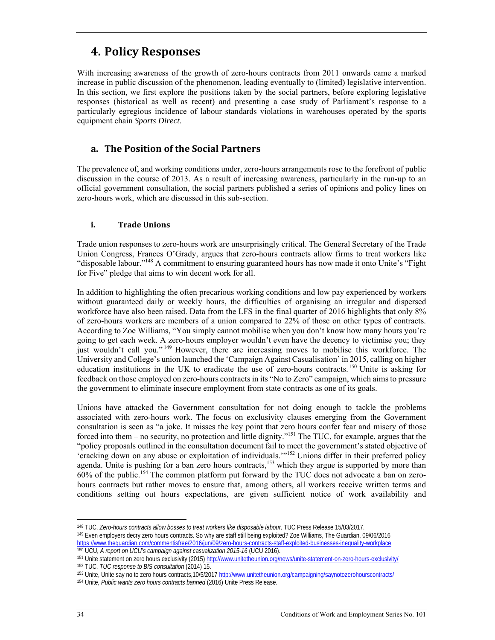# **4. Policy Responses**

With increasing awareness of the growth of zero-hours contracts from 2011 onwards came a marked increase in public discussion of the phenomenon, leading eventually to (limited) legislative intervention. In this section, we first explore the positions taken by the social partners, before exploring legislative responses (historical as well as recent) and presenting a case study of Parliament's response to a particularly egregious incidence of labour standards violations in warehouses operated by the sports equipment chain *Sports Direct*.

## **a. The Position of the Social Partners**

The prevalence of, and working conditions under, zero-hours arrangements rose to the forefront of public discussion in the course of 2013. As a result of increasing awareness, particularly in the run-up to an official government consultation, the social partners published a series of opinions and policy lines on zero-hours work, which are discussed in this sub-section.

#### **i. Trade Unions**

Trade union responses to zero-hours work are unsurprisingly critical. The General Secretary of the Trade Union Congress, Frances O'Grady, argues that zero-hours contracts allow firms to treat workers like "disposable labour."148 A commitment to ensuring guaranteed hours has now made it onto Unite's "Fight for Five" pledge that aims to win decent work for all.

In addition to highlighting the often precarious working conditions and low pay experienced by workers without guaranteed daily or weekly hours, the difficulties of organising an irregular and dispersed workforce have also been raised. Data from the LFS in the final quarter of 2016 highlights that only 8% of zero-hours workers are members of a union compared to 22% of those on other types of contracts. According to Zoe Williams, "You simply cannot mobilise when you don't know how many hours you're going to get each week. A zero-hours employer wouldn't even have the decency to victimise you; they just wouldn't call you." 149 However, there are increasing moves to mobilise this workforce. The University and College's union launched the 'Campaign Against Casualisation' in 2015, calling on higher education institutions in the UK to eradicate the use of zero-hours contracts.150 Unite is asking for feedback on those employed on zero-hours contracts in its "No to Zero" campaign, which aims to pressure the government to eliminate insecure employment from state contracts as one of its goals.

Unions have attacked the Government consultation for not doing enough to tackle the problems associated with zero-hours work. The focus on exclusivity clauses emerging from the Government consultation is seen as "a joke. It misses the key point that zero hours confer fear and misery of those forced into them – no security, no protection and little dignity."151 The TUC, for example, argues that the "policy proposals outlined in the consultation document fail to meet the government's stated objective of 'cracking down on any abuse or exploitation of individuals.'"152 Unions differ in their preferred policy agenda. Unite is pushing for a ban zero hours contracts,<sup>153</sup> which they argue is supported by more than 60% of the public.154 The common platform put forward by the TUC does not advocate a ban on zerohours contracts but rather moves to ensure that, among others, all workers receive written terms and conditions setting out hours expectations, are given sufficient notice of work availability and

l

<sup>&</sup>lt;sup>148</sup> TUC, *Zero-hours contracts allow bosses to treat workers like disposable labour*, TUC Press Release 15/03/2017.<br><sup>149</sup> Even employers decry zero hours contracts. So why are staff still being exploited? Zoe Williams, T

<sup>&</sup>lt;sup>150</sup> UCU, *A report on UCU's campaign against casualization 2015-16* (UCU 2016).<br><sup>151</sup> Unite statement on zero hours exclusivity (2015) http://www.unitetheunion.org/news/unite-statement-on-zero-hours-exclusivity/<br><sup>152</sup> TU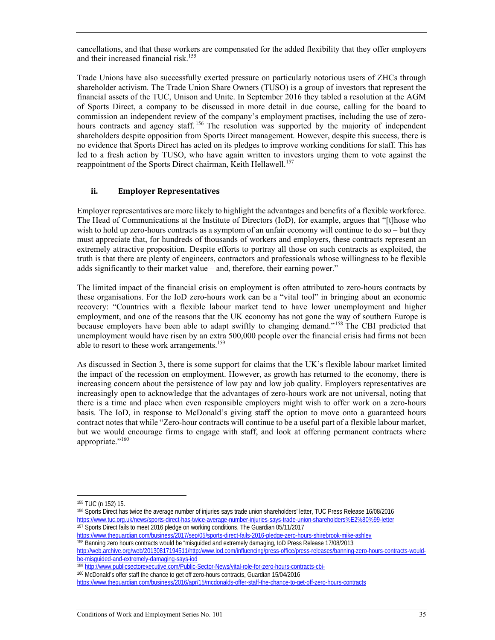cancellations, and that these workers are compensated for the added flexibility that they offer employers and their increased financial risk.<sup>155</sup>

Trade Unions have also successfully exerted pressure on particularly notorious users of ZHCs through shareholder activism. The Trade Union Share Owners (TUSO) is a group of investors that represent the financial assets of the TUC, Unison and Unite. In September 2016 they tabled a resolution at the AGM of Sports Direct, a company to be discussed in more detail in due course, calling for the board to commission an independent review of the company's employment practises, including the use of zerohours contracts and agency staff.<sup>156</sup> The resolution was supported by the majority of independent shareholders despite opposition from Sports Direct management. However, despite this success, there is no evidence that Sports Direct has acted on its pledges to improve working conditions for staff. This has led to a fresh action by TUSO, who have again written to investors urging them to vote against the reappointment of the Sports Direct chairman, Keith Hellawell.<sup>157</sup>

#### **ii. Employer Representatives**

Employer representatives are more likely to highlight the advantages and benefits of a flexible workforce. The Head of Communications at the Institute of Directors (IoD), for example, argues that "[t]hose who wish to hold up zero-hours contracts as a symptom of an unfair economy will continue to do so – but they must appreciate that, for hundreds of thousands of workers and employers, these contracts represent an extremely attractive proposition. Despite efforts to portray all those on such contracts as exploited, the truth is that there are plenty of engineers, contractors and professionals whose willingness to be flexible adds significantly to their market value – and, therefore, their earning power."

The limited impact of the financial crisis on employment is often attributed to zero-hours contracts by these organisations. For the IoD zero-hours work can be a "vital tool" in bringing about an economic recovery: "Countries with a flexible labour market tend to have lower unemployment and higher employment, and one of the reasons that the UK economy has not gone the way of southern Europe is because employers have been able to adapt swiftly to changing demand."158 The CBI predicted that unemployment would have risen by an extra 500,000 people over the financial crisis had firms not been able to resort to these work arrangements.<sup>159</sup>

As discussed in Section 3, there is some support for claims that the UK's flexible labour market limited the impact of the recession on employment. However, as growth has returned to the economy, there is increasing concern about the persistence of low pay and low job quality. Employers representatives are increasingly open to acknowledge that the advantages of zero-hours work are not universal, noting that there is a time and place when even responsible employers might wish to offer work on a zero-hours basis. The IoD, in response to McDonald's giving staff the option to move onto a guaranteed hours contract notes that while "Zero-hour contracts will continue to be a useful part of a flexible labour market, but we would encourage firms to engage with staff, and look at offering permanent contracts where appropriate."<sup>160</sup>

<sup>&</sup>lt;sup>155</sup> TUC (n 152) 15.<br><sup>156</sup> Sports Direct has twice the average number of injuries says trade union shareholders' letter, TUC Press Release 16/08/2016 https://www.tuc.org.uk/news/sports-direct-has-twice-average-number-injuries-says-trade-union-shareholders%E2%80%99-letter 157 Sports Direct fails to meet 2016 pledge on working conditions, The Guardian 05/11/2017

https://www.theguardian.com/business/2017/sep/05/sports-direct-fails-2016-pledge-zero-hours-shirebrook-mike-ashley<br><sup>158</sup> Banning zero hours contracts would be "misguided and extremely damaging, IoD Press Release 17/08/2013

http://web.archive.org/web/20130817194511/http:/www.iod.com/influencing/press-office/press-releases/banning-zero-hours-contracts-would-

be-misguided-and-extremely-damaging-says-iod<br><sup>159</sup> http://www.publicsectorexecutive.com/Public-Sector-News/vital-role-for-zero-hours-contracts-cbi-

<sup>160</sup> McDonald's offer staff the chance to get off zero-hours contracts, Guardian 15/04/2016

https://www.theguardian.com/business/2016/apr/15/mcdonalds-offer-staff-the-chance-to-get-off-zero-hours-contracts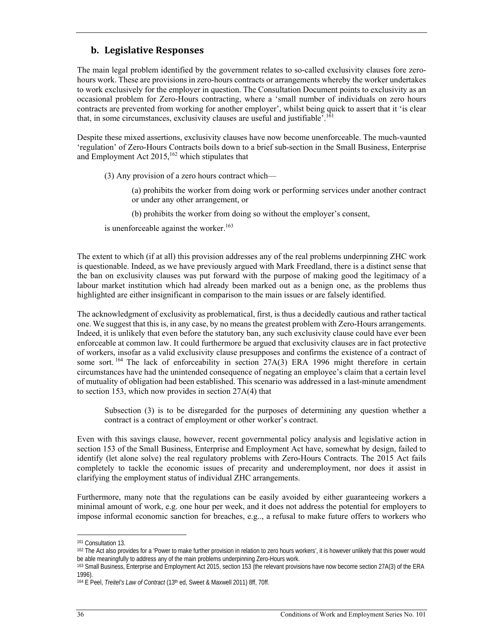### **b. Legislative Responses**

The main legal problem identified by the government relates to so-called exclusivity clauses fore zerohours work. These are provisions in zero-hours contracts or arrangements whereby the worker undertakes to work exclusively for the employer in question. The Consultation Document points to exclusivity as an occasional problem for Zero-Hours contracting, where a 'small number of individuals on zero hours contracts are prevented from working for another employer', whilst being quick to assert that it 'is clear that, in some circumstances, exclusivity clauses are useful and justifiable'.<sup>161</sup>

Despite these mixed assertions, exclusivity clauses have now become unenforceable. The much-vaunted 'regulation' of Zero-Hours Contracts boils down to a brief sub-section in the Small Business, Enterprise and Employment Act  $2015$ ,  $^{162}$  which stipulates that

(3) Any provision of a zero hours contract which—

(a) prohibits the worker from doing work or performing services under another contract or under any other arrangement, or

(b) prohibits the worker from doing so without the employer's consent,

is unenforceable against the worker. $163$ 

The extent to which (if at all) this provision addresses any of the real problems underpinning ZHC work is questionable. Indeed, as we have previously argued with Mark Freedland, there is a distinct sense that the ban on exclusivity clauses was put forward with the purpose of making good the legitimacy of a labour market institution which had already been marked out as a benign one, as the problems thus highlighted are either insignificant in comparison to the main issues or are falsely identified.

The acknowledgment of exclusivity as problematical, first, is thus a decidedly cautious and rather tactical one. We suggest that this is, in any case, by no means the greatest problem with Zero-Hours arrangements. Indeed, it is unlikely that even before the statutory ban, any such exclusivity clause could have ever been enforceable at common law. It could furthermore be argued that exclusivity clauses are in fact protective of workers, insofar as a valid exclusivity clause presupposes and confirms the existence of a contract of some sort.<sup>164</sup> The lack of enforceability in section 27A(3) ERA 1996 might therefore in certain circumstances have had the unintended consequence of negating an employee's claim that a certain level of mutuality of obligation had been established. This scenario was addressed in a last-minute amendment to section 153, which now provides in section 27A(4) that

Subsection (3) is to be disregarded for the purposes of determining any question whether a contract is a contract of employment or other worker's contract.

Even with this savings clause, however, recent governmental policy analysis and legislative action in section 153 of the Small Business, Enterprise and Employment Act have, somewhat by design, failed to identify (let alone solve) the real regulatory problems with Zero-Hours Contracts. The 2015 Act fails completely to tackle the economic issues of precarity and underemployment, nor does it assist in clarifying the employment status of individual ZHC arrangements.

Furthermore, many note that the regulations can be easily avoided by either guaranteeing workers a minimal amount of work, e.g. one hour per week, and it does not address the potential for employers to impose informal economic sanction for breaches, e.g.., a refusal to make future offers to workers who

<sup>&</sup>lt;sup>161</sup> Consultation 13.<br><sup>162</sup> The Act also provides for a 'Power to make further provision in relation to zero hours workers', it is however unlikely that this power would be able meaningfully to address any of the main problems underpinning Zero-Hours work.

<sup>163</sup> Small Business, Enterprise and Employment Act 2015, section 153 (the relevant provisions have now become section 27A(3) of the ERA 1996).

<sup>&</sup>lt;sup>164</sup> E Peel, *Treitel's Law of Contract* (13<sup>th</sup> ed, Sweet & Maxwell 2011) 8ff, 70ff.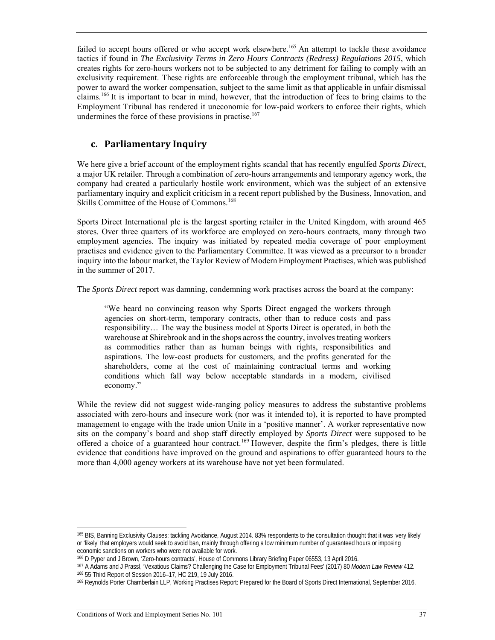failed to accept hours offered or who accept work elsewhere.<sup>165</sup> An attempt to tackle these avoidance tactics if found in *The Exclusivity Terms in Zero Hours Contracts (Redress) Regulations 2015*, which creates rights for zero-hours workers not to be subjected to any detriment for failing to comply with an exclusivity requirement. These rights are enforceable through the employment tribunal, which has the power to award the worker compensation, subject to the same limit as that applicable in unfair dismissal claims.166 It is important to bear in mind, however, that the introduction of fees to bring claims to the Employment Tribunal has rendered it uneconomic for low-paid workers to enforce their rights, which undermines the force of these provisions in practise. $167$ 

### **c. Parliamentary Inquiry**

We here give a brief account of the employment rights scandal that has recently engulfed *Sports Direct*, a major UK retailer. Through a combination of zero-hours arrangements and temporary agency work, the company had created a particularly hostile work environment, which was the subject of an extensive parliamentary inquiry and explicit criticism in a recent report published by the Business, Innovation, and Skills Committee of the House of Commons.<sup>168</sup>

Sports Direct International plc is the largest sporting retailer in the United Kingdom, with around 465 stores. Over three quarters of its workforce are employed on zero-hours contracts, many through two employment agencies. The inquiry was initiated by repeated media coverage of poor employment practises and evidence given to the Parliamentary Committee. It was viewed as a precursor to a broader inquiry into the labour market, the Taylor Review of Modern Employment Practises, which was published in the summer of 2017.

The *Sports Direct* report was damning, condemning work practises across the board at the company:

"We heard no convincing reason why Sports Direct engaged the workers through agencies on short-term, temporary contracts, other than to reduce costs and pass responsibility… The way the business model at Sports Direct is operated, in both the warehouse at Shirebrook and in the shops across the country, involves treating workers as commodities rather than as human beings with rights, responsibilities and aspirations. The low-cost products for customers, and the profits generated for the shareholders, come at the cost of maintaining contractual terms and working conditions which fall way below acceptable standards in a modern, civilised economy."

While the review did not suggest wide-ranging policy measures to address the substantive problems associated with zero-hours and insecure work (nor was it intended to), it is reported to have prompted management to engage with the trade union Unite in a 'positive manner'. A worker representative now sits on the company's board and shop staff directly employed by *Sports Direct* were supposed to be offered a choice of a guaranteed hour contract.<sup>169</sup> However, despite the firm's pledges, there is little evidence that conditions have improved on the ground and aspirations to offer guaranteed hours to the more than 4,000 agency workers at its warehouse have not yet been formulated.

<sup>165</sup> BIS, Banning Exclusivity Clauses: tackling Avoidance, August 2014. 83% respondents to the consultation thought that it was 'very likely' or 'likely' that employers would seek to avoid ban, mainly through offering a low minimum number of guaranteed hours or imposing economic sanctions on workers who were not available for work.

<sup>&</sup>lt;sup>166</sup> D Pyper and J Brown, 'Zero-hours contracts', House of Commons Library Briefing Paper 06553, 13 April 2016.<br><sup>167</sup> A Adams and J Prassl, 'Vexatious Claims? Challenging the Case for Employment Tribunal Fees' (2017) 80 M

<sup>&</sup>lt;sup>168</sup> 55 Third Report of Session 2016–17, HC 219, 19 July 2016.<br><sup>169</sup> Reynolds Porter Chamberlain LLP, Working Practises Report: Prepared for the Board of Sports Direct International, September 2016.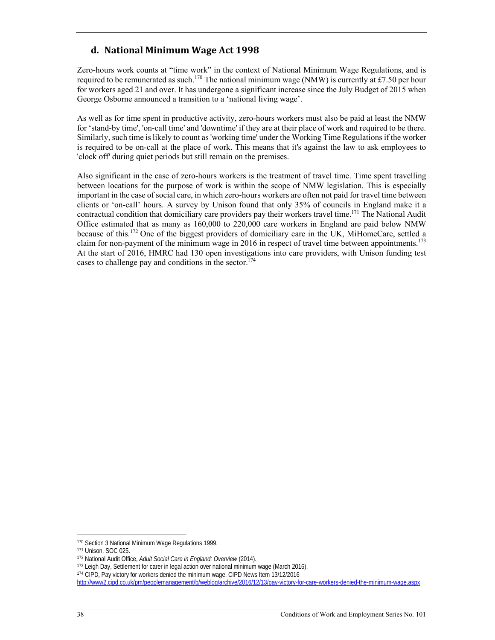## **d. National Minimum Wage Act 1998**

Zero-hours work counts at "time work" in the context of National Minimum Wage Regulations, and is required to be remunerated as such.<sup>170</sup> The national minimum wage (NMW) is currently at £7.50 per hour for workers aged 21 and over. It has undergone a significant increase since the July Budget of 2015 when George Osborne announced a transition to a 'national living wage'.

As well as for time spent in productive activity, zero-hours workers must also be paid at least the NMW for 'stand-by time', 'on-call time' and 'downtime' if they are at their place of work and required to be there. Similarly, such time is likely to count as 'working time' under the Working Time Regulations if the worker is required to be on-call at the place of work. This means that it's against the law to ask employees to 'clock off' during quiet periods but still remain on the premises.

Also significant in the case of zero-hours workers is the treatment of travel time. Time spent travelling between locations for the purpose of work is within the scope of NMW legislation. This is especially important in the case of social care, in which zero-hours workers are often not paid for travel time between clients or 'on-call' hours. A survey by Unison found that only 35% of councils in England make it a contractual condition that domiciliary care providers pay their workers travel time.<sup>171</sup> The National Audit Office estimated that as many as 160,000 to 220,000 care workers in England are paid below NMW because of this.172 One of the biggest providers of domiciliary care in the UK, MiHomeCare, settled a claim for non-payment of the minimum wage in 2016 in respect of travel time between appointments.<sup>173</sup> At the start of 2016, HMRC had 130 open investigations into care providers, with Unison funding test cases to challenge pay and conditions in the sector.<sup>174</sup>

<sup>&</sup>lt;sup>170</sup> Section 3 National Minimum Wage Regulations 1999.<br>
<sup>171</sup> Unison, SOC 025.<br>
<sup>172</sup> National Audit Office, *Adult Social Care in England: Overview* (2014).<br>
<sup>173</sup> Leigh Day, Settlement for carer in legal action over nat

http://www2.cipd.co.uk/pm/peoplemanagement/b/weblog/archive/2016/12/13/pay-victory-for-care-workers-denied-the-minimum-wage.aspx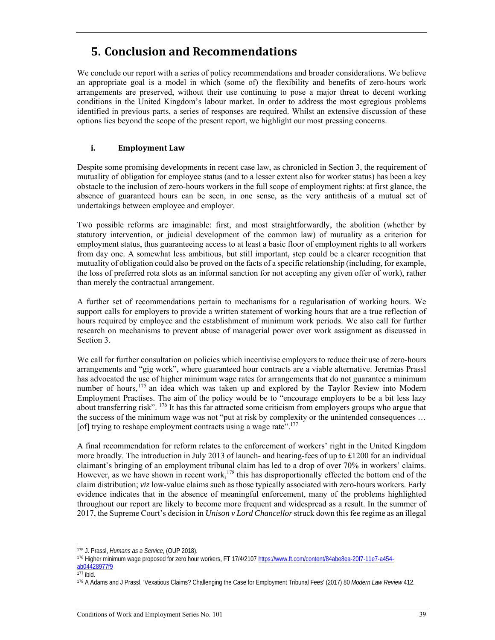# **5. Conclusion and Recommendations**

We conclude our report with a series of policy recommendations and broader considerations. We believe an appropriate goal is a model in which (some of) the flexibility and benefits of zero-hours work arrangements are preserved, without their use continuing to pose a major threat to decent working conditions in the United Kingdom's labour market. In order to address the most egregious problems identified in previous parts, a series of responses are required. Whilst an extensive discussion of these options lies beyond the scope of the present report, we highlight our most pressing concerns.

#### **i. Employment Law**

Despite some promising developments in recent case law, as chronicled in Section 3, the requirement of mutuality of obligation for employee status (and to a lesser extent also for worker status) has been a key obstacle to the inclusion of zero-hours workers in the full scope of employment rights: at first glance, the absence of guaranteed hours can be seen, in one sense, as the very antithesis of a mutual set of undertakings between employee and employer.

Two possible reforms are imaginable: first, and most straightforwardly, the abolition (whether by statutory intervention, or judicial development of the common law) of mutuality as a criterion for employment status, thus guaranteeing access to at least a basic floor of employment rights to all workers from day one. A somewhat less ambitious, but still important, step could be a clearer recognition that mutuality of obligation could also be proved on the facts of a specific relationship (including, for example, the loss of preferred rota slots as an informal sanction for not accepting any given offer of work), rather than merely the contractual arrangement.

A further set of recommendations pertain to mechanisms for a regularisation of working hours. We support calls for employers to provide a written statement of working hours that are a true reflection of hours required by employee and the establishment of minimum work periods. We also call for further research on mechanisms to prevent abuse of managerial power over work assignment as discussed in Section 3.

We call for further consultation on policies which incentivise employers to reduce their use of zero-hours arrangements and "gig work", where guaranteed hour contracts are a viable alternative. Jeremias Prassl has advocated the use of higher minimum wage rates for arrangements that do not guarantee a minimum number of hours, <sup>175</sup> an idea which was taken up and explored by the Taylor Review into Modern Employment Practises. The aim of the policy would be to "encourage employers to be a bit less lazy about transferring risk". 176 It has this far attracted some criticism from employers groups who argue that the success of the minimum wage was not "put at risk by complexity or the unintended consequences … [of] trying to reshape employment contracts using a wage rate".<sup>177</sup>

A final recommendation for reform relates to the enforcement of workers' right in the United Kingdom more broadly. The introduction in July 2013 of launch- and hearing-fees of up to £1200 for an individual claimant's bringing of an employment tribunal claim has led to a drop of over 70% in workers' claims. However, as we have shown in recent work,<sup>178</sup> this has disproportionally effected the bottom end of the claim distribution; *viz* low-value claims such as those typically associated with zero-hours workers. Early evidence indicates that in the absence of meaningful enforcement, many of the problems highlighted throughout our report are likely to become more frequent and widespread as a result. In the summer of 2017, the Supreme Court's decision in *Unison v Lord Chancellor* struck down this fee regime as an illegal

 $\overline{a}$ 

<sup>175</sup> J. Prassl, *Humans as a Service*, (OUP 2018).<br><sup>176</sup> Higher minimum wage proposed for zero hour workers, FT 17/4/2107 https://www.ft.com/content/84abe8ea-20f7-11e7-a454ab04428977f9<br>177 ibid.

<sup>178</sup> A Adams and J Prassl, 'Vexatious Claims? Challenging the Case for Employment Tribunal Fees' (2017) 80 Modern Law Review 412.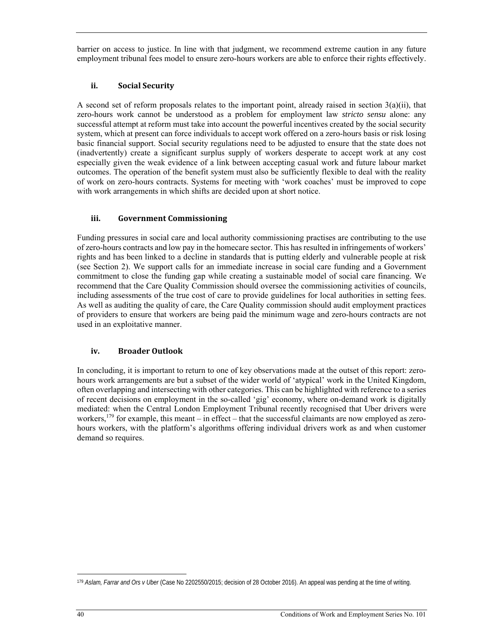barrier on access to justice. In line with that judgment, we recommend extreme caution in any future employment tribunal fees model to ensure zero-hours workers are able to enforce their rights effectively.

#### **ii. Social Security**

A second set of reform proposals relates to the important point, already raised in section  $3(a)(ii)$ , that zero-hours work cannot be understood as a problem for employment law *stricto sensu* alone: any successful attempt at reform must take into account the powerful incentives created by the social security system, which at present can force individuals to accept work offered on a zero-hours basis or risk losing basic financial support. Social security regulations need to be adjusted to ensure that the state does not (inadvertently) create a significant surplus supply of workers desperate to accept work at any cost especially given the weak evidence of a link between accepting casual work and future labour market outcomes. The operation of the benefit system must also be sufficiently flexible to deal with the reality of work on zero-hours contracts. Systems for meeting with 'work coaches' must be improved to cope with work arrangements in which shifts are decided upon at short notice.

#### **iii. Government Commissioning**

Funding pressures in social care and local authority commissioning practises are contributing to the use of zero-hours contracts and low pay in the homecare sector. This has resulted in infringements of workers' rights and has been linked to a decline in standards that is putting elderly and vulnerable people at risk (see Section 2). We support calls for an immediate increase in social care funding and a Government commitment to close the funding gap while creating a sustainable model of social care financing. We recommend that the Care Quality Commission should oversee the commissioning activities of councils, including assessments of the true cost of care to provide guidelines for local authorities in setting fees. As well as auditing the quality of care, the Care Quality commission should audit employment practices of providers to ensure that workers are being paid the minimum wage and zero-hours contracts are not used in an exploitative manner.

#### **iv. Broader Outlook**

In concluding, it is important to return to one of key observations made at the outset of this report: zerohours work arrangements are but a subset of the wider world of 'atypical' work in the United Kingdom, often overlapping and intersecting with other categories. This can be highlighted with reference to a series of recent decisions on employment in the so-called 'gig' economy, where on-demand work is digitally mediated: when the Central London Employment Tribunal recently recognised that Uber drivers were workers,<sup>179</sup> for example, this meant – in effect – that the successful claimants are now employed as zerohours workers, with the platform's algorithms offering individual drivers work as and when customer demand so requires.

<sup>179</sup> *Aslam, Farrar and Ors v Uber* (Case No 2202550/2015; decision of 28 October 2016). An appeal was pending at the time of writing.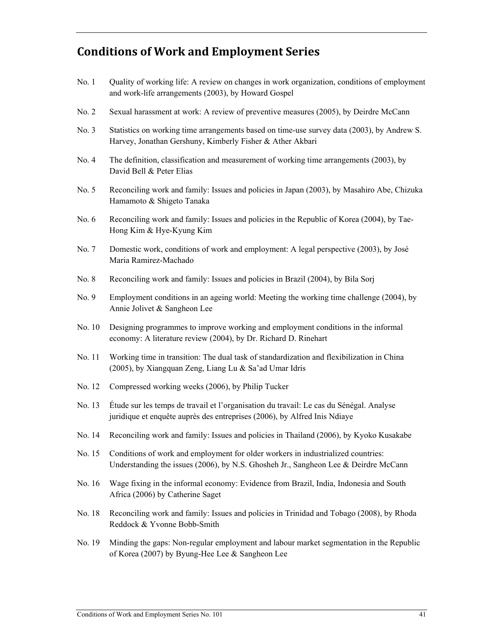# **Conditions of Work and Employment Series**

- No. 1 Quality of working life: A review on changes in work organization, conditions of employment and work-life arrangements (2003), by Howard Gospel
- No. 2 Sexual harassment at work: A review of preventive measures (2005), by Deirdre McCann
- No. 3 Statistics on working time arrangements based on time-use survey data (2003), by Andrew S. Harvey, Jonathan Gershuny, Kimberly Fisher & Ather Akbari
- No. 4 The definition, classification and measurement of working time arrangements (2003), by David Bell & Peter Elias
- No. 5 Reconciling work and family: Issues and policies in Japan (2003), by Masahiro Abe, Chizuka Hamamoto & Shigeto Tanaka
- No. 6 Reconciling work and family: Issues and policies in the Republic of Korea (2004), by Tae-Hong Kim & Hye-Kyung Kim
- No. 7 Domestic work, conditions of work and employment: A legal perspective (2003), by José Maria Ramirez-Machado
- No. 8 Reconciling work and family: Issues and policies in Brazil (2004), by Bila Sorj
- No. 9 Employment conditions in an ageing world: Meeting the working time challenge (2004), by Annie Jolivet & Sangheon Lee
- No. 10 Designing programmes to improve working and employment conditions in the informal economy: A literature review (2004), by Dr. Richard D. Rinehart
- No. 11 Working time in transition: The dual task of standardization and flexibilization in China (2005), by Xiangquan Zeng, Liang Lu & Sa'ad Umar Idris
- No. 12 Compressed working weeks (2006), by Philip Tucker
- No. 13 Étude sur les temps de travail et l'organisation du travail: Le cas du Sénégal. Analyse juridique et enquête auprès des entreprises (2006), by Alfred Inis Ndiaye
- No. 14 Reconciling work and family: Issues and policies in Thailand (2006), by Kyoko Kusakabe
- No. 15 Conditions of work and employment for older workers in industrialized countries: Understanding the issues (2006), by N.S. Ghosheh Jr., Sangheon Lee & Deirdre McCann
- No. 16 Wage fixing in the informal economy: Evidence from Brazil, India, Indonesia and South Africa (2006) by Catherine Saget
- No. 18 Reconciling work and family: Issues and policies in Trinidad and Tobago (2008), by Rhoda Reddock & Yvonne Bobb-Smith
- No. 19 Minding the gaps: Non-regular employment and labour market segmentation in the Republic of Korea (2007) by Byung-Hee Lee & Sangheon Lee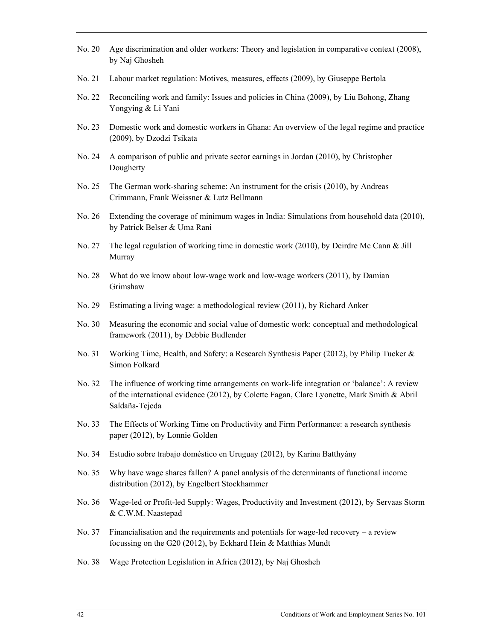- No. 20 Age discrimination and older workers: Theory and legislation in comparative context (2008), by Naj Ghosheh
- No. 21 Labour market regulation: Motives, measures, effects (2009), by Giuseppe Bertola
- No. 22 Reconciling work and family: Issues and policies in China (2009), by Liu Bohong, Zhang Yongying & Li Yani
- No. 23 Domestic work and domestic workers in Ghana: An overview of the legal regime and practice (2009), by Dzodzi Tsikata
- No. 24 A comparison of public and private sector earnings in Jordan (2010), by Christopher Dougherty
- No. 25 The German work-sharing scheme: An instrument for the crisis (2010), by Andreas Crimmann, Frank Weissner & Lutz Bellmann
- No. 26 Extending the coverage of minimum wages in India: Simulations from household data (2010), by Patrick Belser & Uma Rani
- No. 27 The legal regulation of working time in domestic work (2010), by Deirdre Mc Cann & Jill Murray
- No. 28 What do we know about low-wage work and low-wage workers (2011), by Damian Grimshaw
- No. 29 Estimating a living wage: a methodological review (2011), by Richard Anker
- No. 30 Measuring the economic and social value of domestic work: conceptual and methodological framework (2011), by Debbie Budlender
- No. 31 Working Time, Health, and Safety: a Research Synthesis Paper (2012), by Philip Tucker & Simon Folkard
- No. 32 The influence of working time arrangements on work-life integration or 'balance': A review of the international evidence (2012), by Colette Fagan, Clare Lyonette, Mark Smith & Abril Saldaña-Tejeda
- No. 33 The Effects of Working Time on Productivity and Firm Performance: a research synthesis paper (2012), by Lonnie Golden
- No. 34 Estudio sobre trabajo doméstico en Uruguay (2012), by Karina Batthyány
- No. 35 Why have wage shares fallen? A panel analysis of the determinants of functional income distribution (2012), by Engelbert Stockhammer
- No. 36 Wage-led or Profit-led Supply: Wages, Productivity and Investment (2012), by Servaas Storm & C.W.M. Naastepad
- No. 37 Financialisation and the requirements and potentials for wage-led recovery a review focussing on the G20 (2012), by Eckhard Hein & Matthias Mundt
- No. 38 Wage Protection Legislation in Africa (2012), by Naj Ghosheh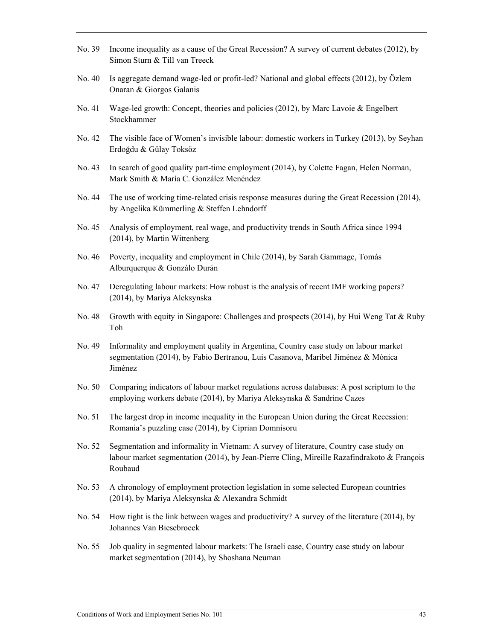- No. 39 Income inequality as a cause of the Great Recession? A survey of current debates (2012), by Simon Sturn & Till van Treeck
- No. 40 Is aggregate demand wage-led or profit-led? National and global effects (2012), by Özlem Onaran & Giorgos Galanis
- No. 41 Wage-led growth: Concept, theories and policies (2012), by Marc Lavoie & Engelbert Stockhammer
- No. 42 The visible face of Women's invisible labour: domestic workers in Turkey (2013), by Seyhan Erdoğdu & Gülay Toksöz
- No. 43 In search of good quality part-time employment (2014), by Colette Fagan, Helen Norman, Mark Smith & María C. González Menéndez
- No. 44 The use of working time-related crisis response measures during the Great Recession (2014), by Angelika Kümmerling & Steffen Lehndorff
- No. 45 Analysis of employment, real wage, and productivity trends in South Africa since 1994 (2014), by Martin Wittenberg
- No. 46 Poverty, inequality and employment in Chile (2014), by Sarah Gammage, Tomás Alburquerque & Gonzálo Durán
- No. 47 Deregulating labour markets: How robust is the analysis of recent IMF working papers? (2014), by Mariya Aleksynska
- No. 48 Growth with equity in Singapore: Challenges and prospects (2014), by Hui Weng Tat & Ruby Toh
- No. 49 Informality and employment quality in Argentina, Country case study on labour market segmentation (2014), by Fabio Bertranou, Luis Casanova, Maribel Jiménez & Mónica Jiménez
- No. 50 Comparing indicators of labour market regulations across databases: A post scriptum to the employing workers debate (2014), by Mariya Aleksynska & Sandrine Cazes
- No. 51 The largest drop in income inequality in the European Union during the Great Recession: Romania's puzzling case (2014), by Ciprian Domnisoru
- No. 52 Segmentation and informality in Vietnam: A survey of literature, Country case study on labour market segmentation (2014), by Jean-Pierre Cling, Mireille Razafindrakoto & François Roubaud
- No. 53 A chronology of employment protection legislation in some selected European countries (2014), by Mariya Aleksynska & Alexandra Schmidt
- No. 54 How tight is the link between wages and productivity? A survey of the literature (2014), by Johannes Van Biesebroeck
- No. 55 Job quality in segmented labour markets: The Israeli case, Country case study on labour market segmentation (2014), by Shoshana Neuman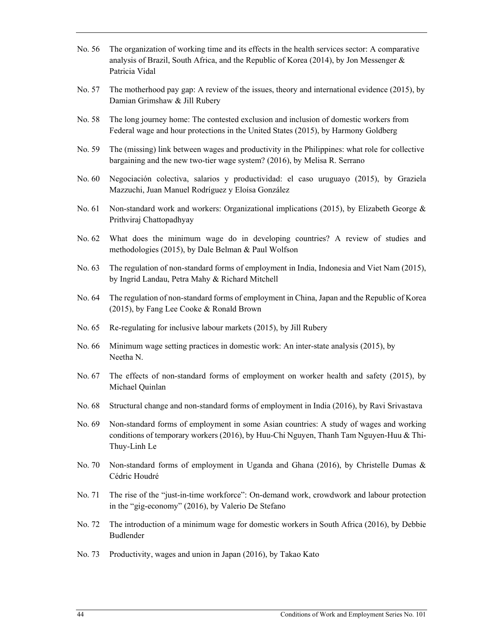- No. 56 The organization of working time and its effects in the health services sector: A comparative analysis of Brazil, South Africa, and the Republic of Korea (2014), by Jon Messenger & Patricia Vidal
- No. 57 The motherhood pay gap: A review of the issues, theory and international evidence (2015), by Damian Grimshaw & Jill Rubery
- No. 58 The long journey home: The contested exclusion and inclusion of domestic workers from Federal wage and hour protections in the United States (2015), by Harmony Goldberg
- No. 59 The (missing) link between wages and productivity in the Philippines: what role for collective bargaining and the new two-tier wage system? (2016), by Melisa R. Serrano
- No. 60 Negociación colectiva, salarios y productividad: el caso uruguayo (2015), by Graziela Mazzuchi, Juan Manuel Rodríguez y Eloísa González
- No. 61 Non-standard work and workers: Organizational implications (2015), by Elizabeth George & Prithviraj Chattopadhyay
- No. 62 What does the minimum wage do in developing countries? A review of studies and methodologies (2015), by Dale Belman & Paul Wolfson
- No. 63 The regulation of non-standard forms of employment in India, Indonesia and Viet Nam (2015), by Ingrid Landau, Petra Mahy & Richard Mitchell
- No. 64 The regulation of non-standard forms of employment in China, Japan and the Republic of Korea (2015), by Fang Lee Cooke & Ronald Brown
- No. 65 Re-regulating for inclusive labour markets (2015), by Jill Rubery
- No. 66 Minimum wage setting practices in domestic work: An inter-state analysis (2015), by Neetha N.
- No. 67 The effects of non-standard forms of employment on worker health and safety (2015), by Michael Quinlan
- No. 68 Structural change and non-standard forms of employment in India (2016), by Ravi Srivastava
- No. 69 Non-standard forms of employment in some Asian countries: A study of wages and working conditions of temporary workers (2016), by Huu-Chi Nguyen, Thanh Tam Nguyen-Huu & Thi-Thuy-Linh Le
- No. 70 Non-standard forms of employment in Uganda and Ghana (2016), by Christelle Dumas & Cédric Houdré
- No. 71 The rise of the "just-in-time workforce": On-demand work, crowdwork and labour protection in the "gig-economy" (2016), by Valerio De Stefano
- No. 72 The introduction of a minimum wage for domestic workers in South Africa (2016), by Debbie Budlender
- No. 73 Productivity, wages and union in Japan (2016), by Takao Kato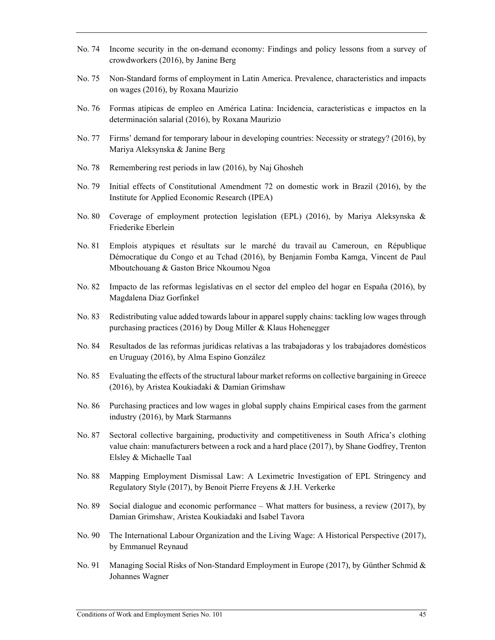- No. 74 Income security in the on-demand economy: Findings and policy lessons from a survey of crowdworkers (2016), by Janine Berg
- No. 75 Non-Standard forms of employment in Latin America. Prevalence, characteristics and impacts on wages (2016), by Roxana Maurizio
- No. 76 Formas atípicas de empleo en América Latina: Incidencia, características e impactos en la determinación salarial (2016), by Roxana Maurizio
- No. 77 Firms' demand for temporary labour in developing countries: Necessity or strategy? (2016), by Mariya Aleksynska & Janine Berg
- No. 78 Remembering rest periods in law (2016), by Naj Ghosheh
- No. 79 Initial effects of Constitutional Amendment 72 on domestic work in Brazil (2016), by the Institute for Applied Economic Research (IPEA)
- No. 80 Coverage of employment protection legislation (EPL) (2016), by Mariya Aleksynska & Friederike Eberlein
- No. 81 Emplois atypiques et résultats sur le marché du travail au Cameroun, en République Démocratique du Congo et au Tchad (2016), by Benjamin Fomba Kamga, Vincent de Paul Mboutchouang & Gaston Brice Nkoumou Ngoa
- No. 82 Impacto de las reformas legislativas en el sector del empleo del hogar en España (2016), by Magdalena Diaz Gorfinkel
- No. 83 Redistributing value added towards labour in apparel supply chains: tackling low wages through purchasing practices (2016) by Doug Miller & Klaus Hohenegger
- No. 84 Resultados de las reformas jurídicas relativas a las trabajadoras y los trabajadores domésticos en Uruguay (2016), by Alma Espino González
- No. 85 Evaluating the effects of the structural labour market reforms on collective bargaining in Greece (2016), by Aristea Koukiadaki & Damian Grimshaw
- No. 86 Purchasing practices and low wages in global supply chains Empirical cases from the garment industry (2016), by Mark Starmanns
- No. 87 Sectoral collective bargaining, productivity and competitiveness in South Africa's clothing value chain: manufacturers between a rock and a hard place (2017), by Shane Godfrey, Trenton Elsley & Michaelle Taal
- No. 88 Mapping Employment Dismissal Law: A Leximetric Investigation of EPL Stringency and Regulatory Style (2017), by Benoit Pierre Freyens & J.H. Verkerke
- No. 89 Social dialogue and economic performance What matters for business, a review (2017), by Damian Grimshaw, Aristea Koukiadaki and Isabel Tavora
- No. 90 The International Labour Organization and the Living Wage: A Historical Perspective (2017), by Emmanuel Reynaud
- No. 91 Managing Social Risks of Non-Standard Employment in Europe (2017), by Günther Schmid & Johannes Wagner